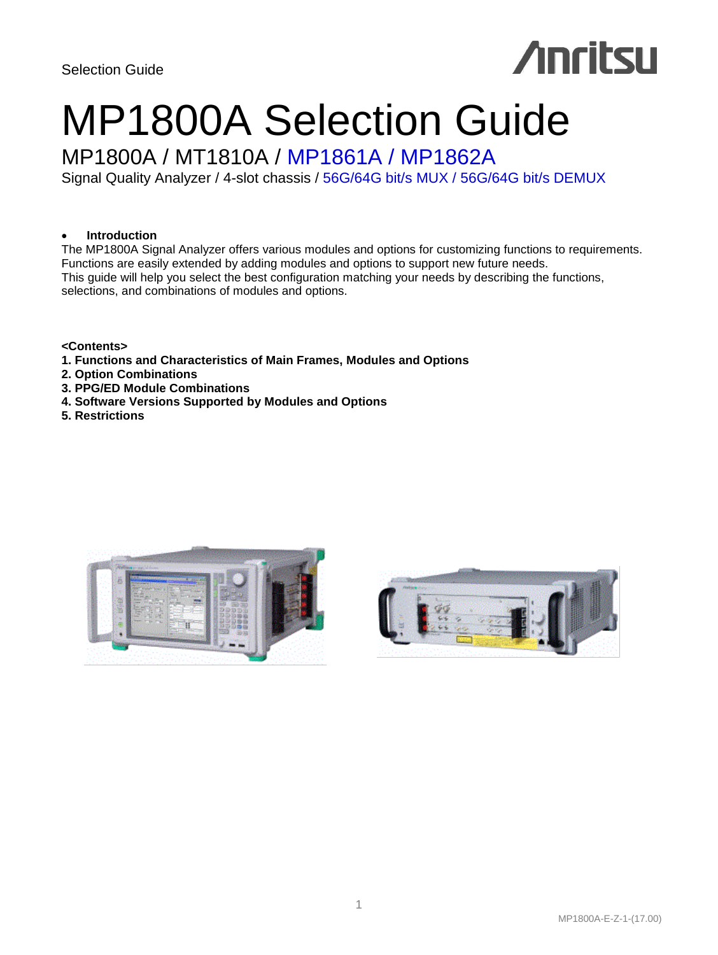# **Anritsu**

# MP1800A Selection Guide

# MP1800A / MT1810A / MP1861A / MP1862A

Signal Quality Analyzer / 4-slot chassis / 56G/64G bit/s MUX / 56G/64G bit/s DEMUX

#### **Introduction**

The MP1800A Signal Analyzer offers various modules and options for customizing functions to requirements. Functions are easily extended by adding modules and options to support new future needs. This guide will help you select the best configuration matching your needs by describing the functions, selections, and combinations of modules and options.

**<Contents>**

- **1. Functions and Characteristics of Main Frames, Modules and Options**
- **2. Option Combinations**
- **3. PPG/ED Module Combinations**
- **4. Software Versions Supported by Modules and Options**
- **5. Restrictions**



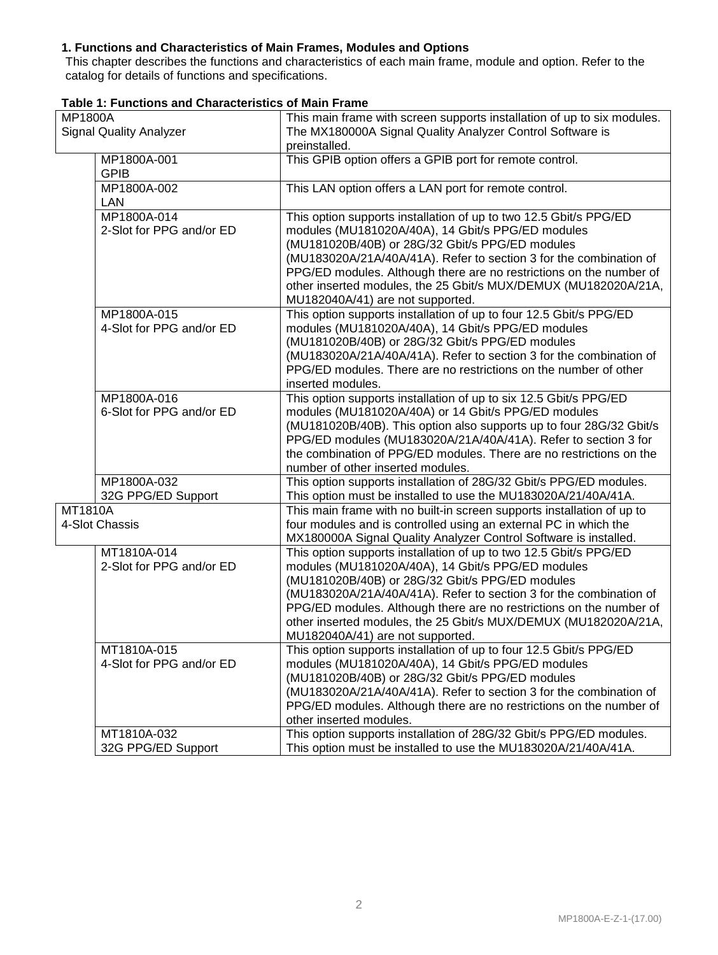#### **1. Functions and Characteristics of Main Frames, Modules and Options**

This chapter describes the functions and characteristics of each main frame, module and option. Refer to the catalog for details of functions and specifications.

| MP1800A                        |                                         | This main frame with screen supports installation of up to six modules.                                                                                                                                                                                                                                                                                                                                                       |
|--------------------------------|-----------------------------------------|-------------------------------------------------------------------------------------------------------------------------------------------------------------------------------------------------------------------------------------------------------------------------------------------------------------------------------------------------------------------------------------------------------------------------------|
| <b>Signal Quality Analyzer</b> |                                         | The MX180000A Signal Quality Analyzer Control Software is<br>preinstalled.                                                                                                                                                                                                                                                                                                                                                    |
|                                | MP1800A-001<br><b>GPIB</b>              | This GPIB option offers a GPIB port for remote control.                                                                                                                                                                                                                                                                                                                                                                       |
|                                | MP1800A-002<br><b>LAN</b>               | This LAN option offers a LAN port for remote control.                                                                                                                                                                                                                                                                                                                                                                         |
|                                | MP1800A-014<br>2-Slot for PPG and/or ED | This option supports installation of up to two 12.5 Gbit/s PPG/ED<br>modules (MU181020A/40A), 14 Gbit/s PPG/ED modules<br>(MU181020B/40B) or 28G/32 Gbit/s PPG/ED modules<br>(MU183020A/21A/40A/41A). Refer to section 3 for the combination of<br>PPG/ED modules. Although there are no restrictions on the number of<br>other inserted modules, the 25 Gbit/s MUX/DEMUX (MU182020A/21A,<br>MU182040A/41) are not supported. |
|                                | MP1800A-015<br>4-Slot for PPG and/or ED | This option supports installation of up to four 12.5 Gbit/s PPG/ED<br>modules (MU181020A/40A), 14 Gbit/s PPG/ED modules<br>(MU181020B/40B) or 28G/32 Gbit/s PPG/ED modules<br>(MU183020A/21A/40A/41A). Refer to section 3 for the combination of<br>PPG/ED modules. There are no restrictions on the number of other<br>inserted modules.                                                                                     |
|                                | MP1800A-016<br>6-Slot for PPG and/or ED | This option supports installation of up to six 12.5 Gbit/s PPG/ED<br>modules (MU181020A/40A) or 14 Gbit/s PPG/ED modules<br>(MU181020B/40B). This option also supports up to four 28G/32 Gbit/s<br>PPG/ED modules (MU183020A/21A/40A/41A). Refer to section 3 for<br>the combination of PPG/ED modules. There are no restrictions on the<br>number of other inserted modules.                                                 |
|                                | MP1800A-032<br>32G PPG/ED Support       | This option supports installation of 28G/32 Gbit/s PPG/ED modules.<br>This option must be installed to use the MU183020A/21/40A/41A.                                                                                                                                                                                                                                                                                          |
| MT1810A                        | 4-Slot Chassis                          | This main frame with no built-in screen supports installation of up to<br>four modules and is controlled using an external PC in which the<br>MX180000A Signal Quality Analyzer Control Software is installed.                                                                                                                                                                                                                |
|                                | MT1810A-014<br>2-Slot for PPG and/or ED | This option supports installation of up to two 12.5 Gbit/s PPG/ED<br>modules (MU181020A/40A), 14 Gbit/s PPG/ED modules<br>(MU181020B/40B) or 28G/32 Gbit/s PPG/ED modules<br>(MU183020A/21A/40A/41A). Refer to section 3 for the combination of<br>PPG/ED modules. Although there are no restrictions on the number of<br>other inserted modules, the 25 Gbit/s MUX/DEMUX (MU182020A/21A,<br>MU182040A/41) are not supported. |
|                                | MT1810A-015<br>4-Slot for PPG and/or ED | This option supports installation of up to four 12.5 Gbit/s PPG/ED<br>modules (MU181020A/40A), 14 Gbit/s PPG/ED modules<br>(MU181020B/40B) or 28G/32 Gbit/s PPG/ED modules<br>(MU183020A/21A/40A/41A). Refer to section 3 for the combination of<br>PPG/ED modules. Although there are no restrictions on the number of<br>other inserted modules.                                                                            |
|                                | MT1810A-032<br>32G PPG/ED Support       | This option supports installation of 28G/32 Gbit/s PPG/ED modules.<br>This option must be installed to use the MU183020A/21/40A/41A.                                                                                                                                                                                                                                                                                          |

| Table 1: Functions and Characteristics of Main Frame |  |  |
|------------------------------------------------------|--|--|
|------------------------------------------------------|--|--|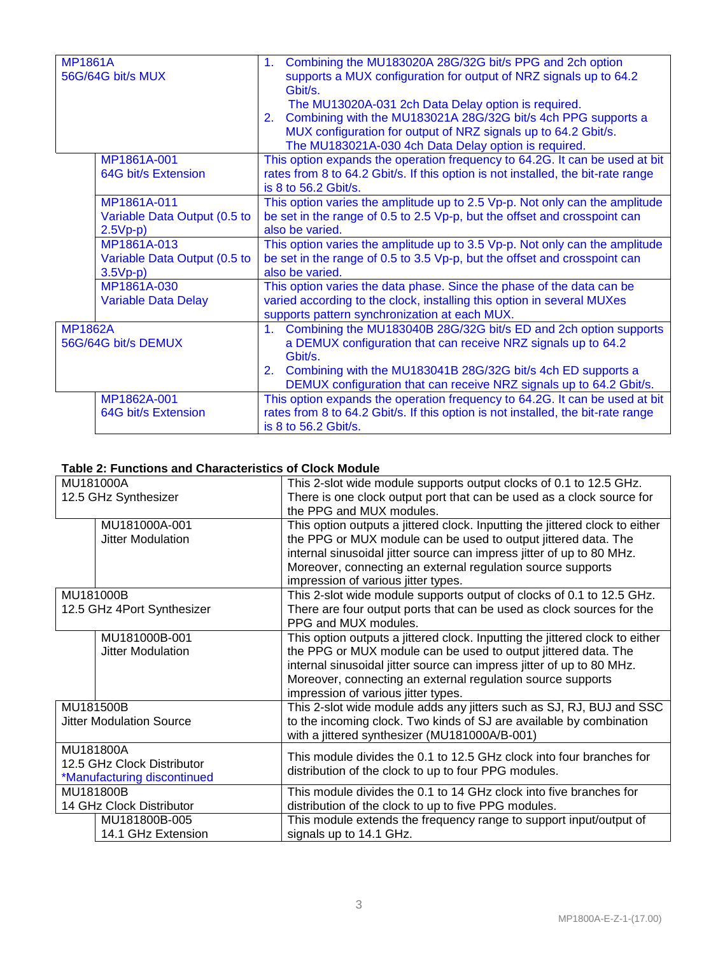| <b>MP1861A</b><br>56G/64G bit/s MUX                                         |                                                           | Combining the MU183020A 28G/32G bit/s PPG and 2ch option<br>1.<br>supports a MUX configuration for output of NRZ signals up to 64.2<br>Gbit/s.<br>The MU13020A-031 2ch Data Delay option is required.<br>Combining with the MU183021A 28G/32G bit/s 4ch PPG supports a<br>2 <sup>1</sup><br>MUX configuration for output of NRZ signals up to 64.2 Gbit/s.<br>The MU183021A-030 4ch Data Delay option is required. |
|-----------------------------------------------------------------------------|-----------------------------------------------------------|--------------------------------------------------------------------------------------------------------------------------------------------------------------------------------------------------------------------------------------------------------------------------------------------------------------------------------------------------------------------------------------------------------------------|
|                                                                             | MP1861A-001<br>64G bit/s Extension                        | This option expands the operation frequency to 64.2G. It can be used at bit<br>rates from 8 to 64.2 Gbit/s. If this option is not installed, the bit-rate range<br>is 8 to 56.2 Gbit/s.                                                                                                                                                                                                                            |
|                                                                             | MP1861A-011<br>Variable Data Output (0.5 to<br>$2.5Vp-p$  | This option varies the amplitude up to 2.5 Vp-p. Not only can the amplitude<br>be set in the range of 0.5 to 2.5 Vp-p, but the offset and crosspoint can<br>also be varied.                                                                                                                                                                                                                                        |
|                                                                             | MP1861A-013<br>Variable Data Output (0.5 to<br>$3.5Vp-p)$ | This option varies the amplitude up to 3.5 Vp-p. Not only can the amplitude<br>be set in the range of 0.5 to 3.5 Vp-p, but the offset and crosspoint can<br>also be varied.                                                                                                                                                                                                                                        |
|                                                                             | MP1861A-030<br><b>Variable Data Delay</b>                 | This option varies the data phase. Since the phase of the data can be<br>varied according to the clock, installing this option in several MUXes<br>supports pattern synchronization at each MUX.                                                                                                                                                                                                                   |
| <b>MP1862A</b><br>56G/64G bit/s DEMUX<br>MP1862A-001<br>64G bit/s Extension |                                                           | 1. Combining the MU183040B 28G/32G bit/s ED and 2ch option supports<br>a DEMUX configuration that can receive NRZ signals up to 64.2<br>Gbit/s.<br>Combining with the MU183041B 28G/32G bit/s 4ch ED supports a<br>2.<br>DEMUX configuration that can receive NRZ signals up to 64.2 Gbit/s.                                                                                                                       |
|                                                                             |                                                           | This option expands the operation frequency to 64.2G. It can be used at bit<br>rates from 8 to 64.2 Gbit/s. If this option is not installed, the bit-rate range<br>is 8 to 56.2 Gbit/s.                                                                                                                                                                                                                            |

#### **Table 2: Functions and Characteristics of Clock Module**

|                             |                                 | This 2-slot wide module supports output clocks of 0.1 to 12.5 GHz.           |
|-----------------------------|---------------------------------|------------------------------------------------------------------------------|
| MU181000A                   |                                 |                                                                              |
| 12.5 GHz Synthesizer        |                                 | There is one clock output port that can be used as a clock source for        |
|                             |                                 | the PPG and MUX modules.                                                     |
|                             | MU181000A-001                   | This option outputs a jittered clock. Inputting the jittered clock to either |
|                             | Jitter Modulation               | the PPG or MUX module can be used to output jittered data. The               |
|                             |                                 | internal sinusoidal jitter source can impress jitter of up to 80 MHz.        |
|                             |                                 | Moreover, connecting an external regulation source supports                  |
|                             |                                 | impression of various jitter types.                                          |
|                             | MU181000B                       | This 2-slot wide module supports output of clocks of 0.1 to 12.5 GHz.        |
|                             | 12.5 GHz 4Port Synthesizer      | There are four output ports that can be used as clock sources for the        |
|                             |                                 | PPG and MUX modules.                                                         |
|                             | MU181000B-001                   | This option outputs a jittered clock. Inputting the jittered clock to either |
|                             | Jitter Modulation               | the PPG or MUX module can be used to output jittered data. The               |
|                             |                                 | internal sinusoidal jitter source can impress jitter of up to 80 MHz.        |
|                             |                                 | Moreover, connecting an external regulation source supports                  |
|                             |                                 |                                                                              |
|                             |                                 | impression of various jitter types.                                          |
|                             | MU181500B                       | This 2-slot wide module adds any jitters such as SJ, RJ, BUJ and SSC         |
|                             | <b>Jitter Modulation Source</b> | to the incoming clock. Two kinds of SJ are available by combination          |
|                             |                                 | with a jittered synthesizer (MU181000A/B-001)                                |
| MU181800A                   |                                 |                                                                              |
| 12.5 GHz Clock Distributor  |                                 | This module divides the 0.1 to 12.5 GHz clock into four branches for         |
| *Manufacturing discontinued |                                 | distribution of the clock to up to four PPG modules.                         |
| MU181800B                   |                                 | This module divides the 0.1 to 14 GHz clock into five branches for           |
| 14 GHz Clock Distributor    |                                 | distribution of the clock to up to five PPG modules.                         |
|                             | MU181800B-005                   | This module extends the frequency range to support input/output of           |
|                             | 14.1 GHz Extension              | signals up to 14.1 GHz.                                                      |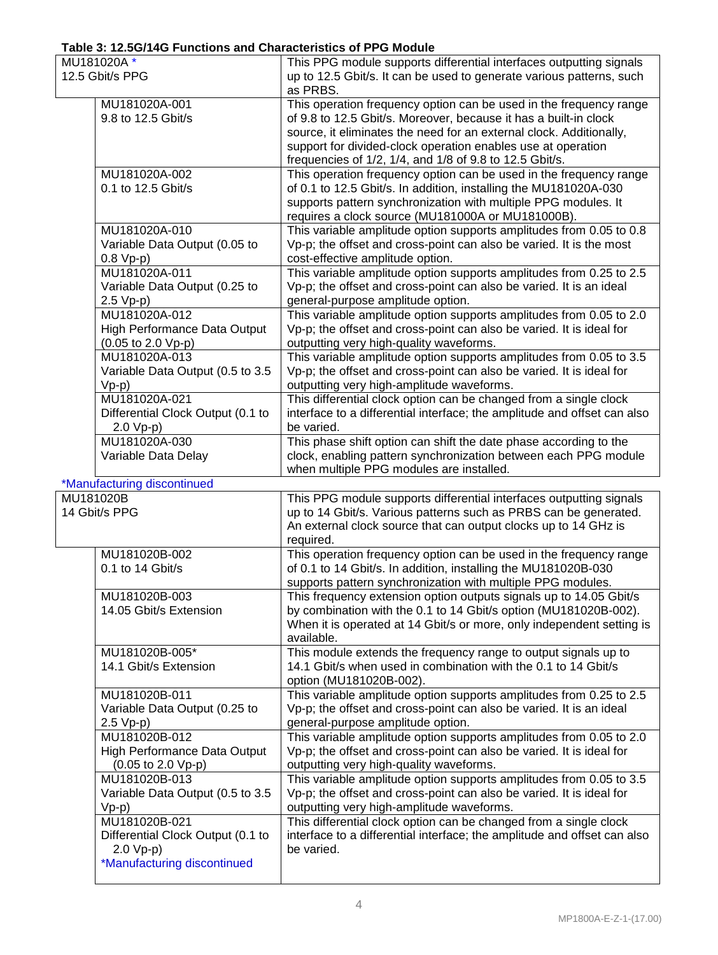## **Table 3: 12.5G/14G Functions and Characteristics of PPG Module**

| MU181020A*      |                                                        | This PPG module supports differential interfaces outputting signals                                                                         |
|-----------------|--------------------------------------------------------|---------------------------------------------------------------------------------------------------------------------------------------------|
| 12.5 Gbit/s PPG |                                                        | up to 12.5 Gbit/s. It can be used to generate various patterns, such                                                                        |
|                 |                                                        | as PRBS.                                                                                                                                    |
|                 | MU181020A-001                                          | This operation frequency option can be used in the frequency range                                                                          |
|                 | 9.8 to 12.5 Gbit/s                                     | of 9.8 to 12.5 Gbit/s. Moreover, because it has a built-in clock                                                                            |
|                 |                                                        | source, it eliminates the need for an external clock. Additionally,                                                                         |
|                 |                                                        | support for divided-clock operation enables use at operation                                                                                |
|                 | MU181020A-002                                          | frequencies of 1/2, 1/4, and 1/8 of 9.8 to 12.5 Gbit/s.<br>This operation frequency option can be used in the frequency range               |
|                 | 0.1 to 12.5 Gbit/s                                     | of 0.1 to 12.5 Gbit/s. In addition, installing the MU181020A-030                                                                            |
|                 |                                                        | supports pattern synchronization with multiple PPG modules. It                                                                              |
|                 |                                                        | requires a clock source (MU181000A or MU181000B).                                                                                           |
|                 | MU181020A-010                                          | This variable amplitude option supports amplitudes from 0.05 to 0.8                                                                         |
|                 | Variable Data Output (0.05 to                          | Vp-p; the offset and cross-point can also be varied. It is the most                                                                         |
|                 | $0.8 Vp-p)$                                            | cost-effective amplitude option.                                                                                                            |
|                 | MU181020A-011                                          | This variable amplitude option supports amplitudes from 0.25 to 2.5                                                                         |
|                 | Variable Data Output (0.25 to                          | Vp-p; the offset and cross-point can also be varied. It is an ideal                                                                         |
|                 | $2.5 Vp-p)$                                            | general-purpose amplitude option.                                                                                                           |
|                 | MU181020A-012                                          | This variable amplitude option supports amplitudes from 0.05 to 2.0                                                                         |
|                 | High Performance Data Output                           | Vp-p; the offset and cross-point can also be varied. It is ideal for                                                                        |
|                 | $(0.05 \text{ to } 2.0 \text{ Vp-p})$<br>MU181020A-013 | outputting very high-quality waveforms.                                                                                                     |
|                 | Variable Data Output (0.5 to 3.5                       | This variable amplitude option supports amplitudes from 0.05 to 3.5<br>Vp-p; the offset and cross-point can also be varied. It is ideal for |
|                 | $Vp-p)$                                                | outputting very high-amplitude waveforms.                                                                                                   |
|                 | MU181020A-021                                          | This differential clock option can be changed from a single clock                                                                           |
|                 | Differential Clock Output (0.1 to                      | interface to a differential interface; the amplitude and offset can also                                                                    |
|                 | $2.0 Vp-p$                                             | be varied.                                                                                                                                  |
|                 | MU181020A-030                                          | This phase shift option can shift the date phase according to the                                                                           |
|                 | Variable Data Delay                                    | clock, enabling pattern synchronization between each PPG module                                                                             |
|                 |                                                        | when multiple PPG modules are installed.                                                                                                    |
|                 |                                                        |                                                                                                                                             |
|                 | *Manufacturing discontinued                            |                                                                                                                                             |
|                 | MU181020B                                              | This PPG module supports differential interfaces outputting signals                                                                         |
|                 | 14 Gbit/s PPG                                          | up to 14 Gbit/s. Various patterns such as PRBS can be generated.                                                                            |
|                 |                                                        | An external clock source that can output clocks up to 14 GHz is                                                                             |
|                 |                                                        | required.                                                                                                                                   |
|                 | MU181020B-002                                          | This operation frequency option can be used in the frequency range                                                                          |
|                 | 0.1 to 14 Gbit/s                                       | of 0.1 to 14 Gbit/s. In addition, installing the MU181020B-030                                                                              |
|                 |                                                        | supports pattern synchronization with multiple PPG modules.                                                                                 |
|                 | MU181020B-003                                          | This frequency extension option outputs signals up to 14.05 Gbit/s                                                                          |
|                 | 14.05 Gbit/s Extension                                 | by combination with the 0.1 to 14 Gbit/s option (MU181020B-002).                                                                            |
|                 |                                                        | When it is operated at 14 Gbit/s or more, only independent setting is                                                                       |
|                 |                                                        | available.                                                                                                                                  |
|                 | MU181020B-005*<br>14.1 Gbit/s Extension                | This module extends the frequency range to output signals up to<br>14.1 Gbit/s when used in combination with the 0.1 to 14 Gbit/s           |
|                 |                                                        | option (MU181020B-002).                                                                                                                     |
|                 | MU181020B-011                                          | This variable amplitude option supports amplitudes from 0.25 to 2.5                                                                         |
|                 | Variable Data Output (0.25 to                          | Vp-p; the offset and cross-point can also be varied. It is an ideal                                                                         |
|                 | $2.5 Vp-p$                                             | general-purpose amplitude option.                                                                                                           |
|                 | MU181020B-012                                          | This variable amplitude option supports amplitudes from 0.05 to 2.0                                                                         |
|                 | High Performance Data Output                           | Vp-p; the offset and cross-point can also be varied. It is ideal for                                                                        |
|                 | $(0.05 \text{ to } 2.0 \text{ Vp-p})$                  | outputting very high-quality waveforms.                                                                                                     |
|                 | MU181020B-013                                          | This variable amplitude option supports amplitudes from 0.05 to 3.5                                                                         |
|                 | Variable Data Output (0.5 to 3.5                       | Vp-p; the offset and cross-point can also be varied. It is ideal for                                                                        |
|                 | $Vp-p)$                                                | outputting very high-amplitude waveforms.                                                                                                   |
|                 | MU181020B-021                                          | This differential clock option can be changed from a single clock                                                                           |
|                 | Differential Clock Output (0.1 to                      | interface to a differential interface; the amplitude and offset can also                                                                    |
|                 | $2.0 Vp-p$<br>*Manufacturing discontinued              | be varied.                                                                                                                                  |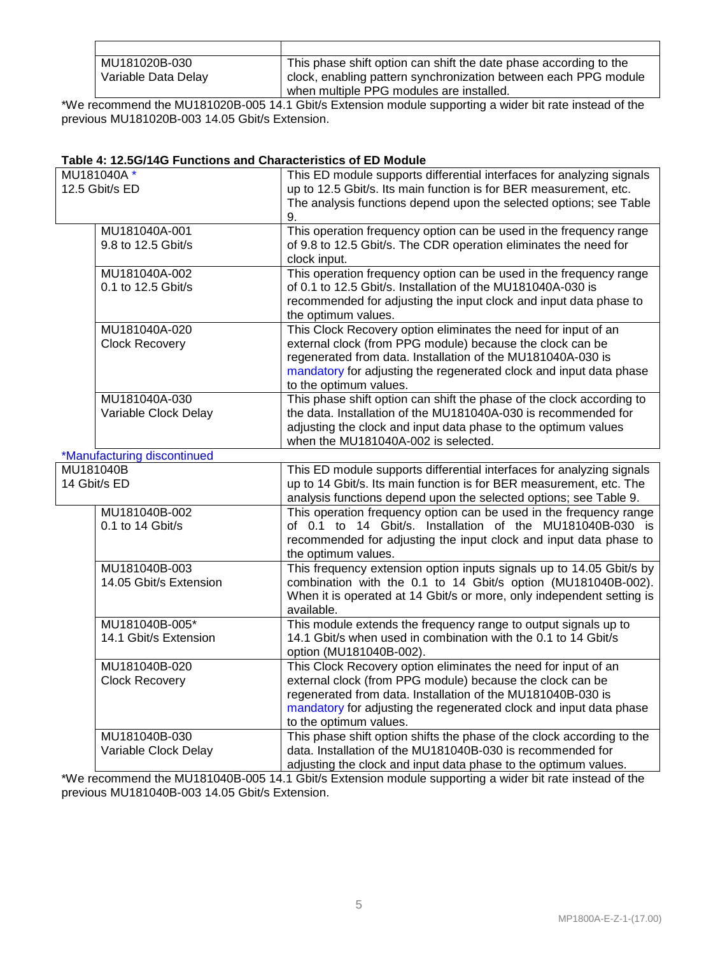| MU181020B-030       | This phase shift option can shift the date phase according to the |
|---------------------|-------------------------------------------------------------------|
| Variable Data Delay | I clock, enabling pattern synchronization between each PPG module |
|                     | when multiple PPG modules are installed.                          |

\*We recommend the MU181020B-005 14.1 Gbit/s Extension module supporting a wider bit rate instead of the previous MU181020B-003 14.05 Gbit/s Extension.

#### **Table 4: 12.5G/14G Functions and Characteristics of ED Module**

| MU181040A*<br>12.5 Gbit/s ED            | This ED module supports differential interfaces for analyzing signals<br>up to 12.5 Gbit/s. Its main function is for BER measurement, etc.<br>The analysis functions depend upon the selected options; see Table<br>9.                                                                     |
|-----------------------------------------|--------------------------------------------------------------------------------------------------------------------------------------------------------------------------------------------------------------------------------------------------------------------------------------------|
| MU181040A-001<br>9.8 to 12.5 Gbit/s     | This operation frequency option can be used in the frequency range<br>of 9.8 to 12.5 Gbit/s. The CDR operation eliminates the need for<br>clock input.                                                                                                                                     |
| MU181040A-002<br>0.1 to 12.5 Gbit/s     | This operation frequency option can be used in the frequency range<br>of 0.1 to 12.5 Gbit/s. Installation of the MU181040A-030 is<br>recommended for adjusting the input clock and input data phase to<br>the optimum values.                                                              |
| MU181040A-020<br><b>Clock Recovery</b>  | This Clock Recovery option eliminates the need for input of an<br>external clock (from PPG module) because the clock can be<br>regenerated from data. Installation of the MU181040A-030 is<br>mandatory for adjusting the regenerated clock and input data phase<br>to the optimum values. |
| MU181040A-030<br>Variable Clock Delay   | This phase shift option can shift the phase of the clock according to<br>the data. Installation of the MU181040A-030 is recommended for<br>adjusting the clock and input data phase to the optimum values<br>when the MU181040A-002 is selected.                                           |
| *Manufacturing discontinued             |                                                                                                                                                                                                                                                                                            |
| MU181040B<br>14 Gbit/s ED               | This ED module supports differential interfaces for analyzing signals<br>up to 14 Gbit/s. Its main function is for BER measurement, etc. The<br>analysis functions depend upon the selected options; see Table 9.                                                                          |
| MU181040B-002<br>0.1 to 14 Gbit/s       | This operation frequency option can be used in the frequency range<br>of 0.1 to 14 Gbit/s. Installation of the MU181040B-030 is<br>recommended for adjusting the input clock and input data phase to<br>the optimum values.                                                                |
| MU181040B-003<br>14.05 Gbit/s Extension | This frequency extension option inputs signals up to 14.05 Gbit/s by<br>combination with the 0.1 to 14 Gbit/s option (MU181040B-002).<br>When it is operated at 14 Gbit/s or more, only independent setting is<br>available.                                                               |
| MU181040B-005*<br>14.1 Gbit/s Extension | This module extends the frequency range to output signals up to<br>14.1 Gbit/s when used in combination with the 0.1 to 14 Gbit/s<br>option (MU181040B-002).                                                                                                                               |
| MU181040B-020<br><b>Clock Recovery</b>  | This Clock Recovery option eliminates the need for input of an<br>external clock (from PPG module) because the clock can be<br>regenerated from data. Installation of the MU181040B-030 is<br>mandatory for adjusting the regenerated clock and input data phase<br>to the optimum values. |
| MU181040B-030<br>Variable Clock Delay   | This phase shift option shifts the phase of the clock according to the<br>data. Installation of the MU181040B-030 is recommended for<br>adjusting the clock and input data phase to the optimum values.                                                                                    |

\*We recommend the MU181040B-005 14.1 Gbit/s Extension module supporting a wider bit rate instead of the previous MU181040B-003 14.05 Gbit/s Extension.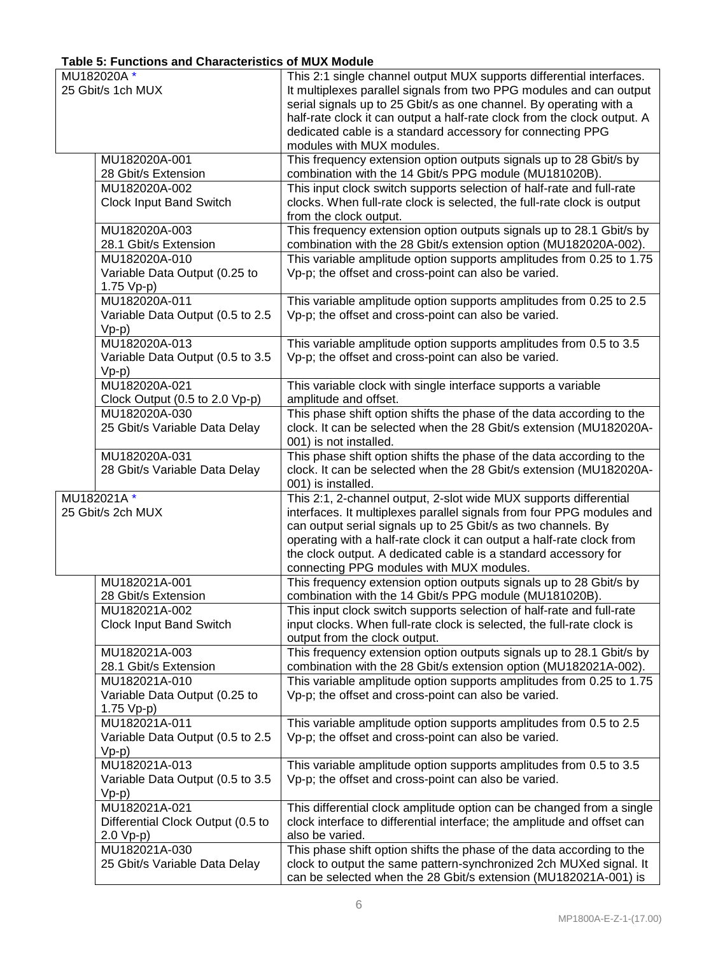# **Table 5: Functions and Characteristics of MUX Module**

| MU182020A*                                      | This 2:1 single channel output MUX supports differential interfaces.                                                                            |
|-------------------------------------------------|-------------------------------------------------------------------------------------------------------------------------------------------------|
| 25 Gbit/s 1ch MUX                               | It multiplexes parallel signals from two PPG modules and can output                                                                             |
|                                                 | serial signals up to 25 Gbit/s as one channel. By operating with a<br>half-rate clock it can output a half-rate clock from the clock output. A  |
|                                                 | dedicated cable is a standard accessory for connecting PPG                                                                                      |
|                                                 | modules with MUX modules.                                                                                                                       |
| MU182020A-001                                   | This frequency extension option outputs signals up to 28 Gbit/s by                                                                              |
| 28 Gbit/s Extension                             | combination with the 14 Gbit/s PPG module (MU181020B).                                                                                          |
| MU182020A-002                                   | This input clock switch supports selection of half-rate and full-rate                                                                           |
| <b>Clock Input Band Switch</b>                  | clocks. When full-rate clock is selected, the full-rate clock is output                                                                         |
| MU182020A-003                                   | from the clock output.<br>This frequency extension option outputs signals up to 28.1 Gbit/s by                                                  |
| 28.1 Gbit/s Extension                           | combination with the 28 Gbit/s extension option (MU182020A-002).                                                                                |
| MU182020A-010                                   | This variable amplitude option supports amplitudes from 0.25 to 1.75                                                                            |
| Variable Data Output (0.25 to                   | Vp-p; the offset and cross-point can also be varied.                                                                                            |
| 1.75 Vp-p)                                      |                                                                                                                                                 |
| MU182020A-011                                   | This variable amplitude option supports amplitudes from 0.25 to 2.5                                                                             |
| Variable Data Output (0.5 to 2.5                | Vp-p; the offset and cross-point can also be varied.                                                                                            |
| $Vp-p)$<br>MU182020A-013                        | This variable amplitude option supports amplitudes from 0.5 to 3.5                                                                              |
| Variable Data Output (0.5 to 3.5                | Vp-p; the offset and cross-point can also be varied.                                                                                            |
| $Vp-p)$                                         |                                                                                                                                                 |
| MU182020A-021                                   | This variable clock with single interface supports a variable                                                                                   |
| Clock Output (0.5 to 2.0 Vp-p)                  | amplitude and offset.                                                                                                                           |
| MU182020A-030                                   | This phase shift option shifts the phase of the data according to the                                                                           |
| 25 Gbit/s Variable Data Delay                   | clock. It can be selected when the 28 Gbit/s extension (MU182020A-<br>001) is not installed.                                                    |
| MU182020A-031                                   | This phase shift option shifts the phase of the data according to the                                                                           |
| 28 Gbit/s Variable Data Delay                   | clock. It can be selected when the 28 Gbit/s extension (MU182020A-                                                                              |
|                                                 | 001) is installed.                                                                                                                              |
| MU182021A*                                      | This 2:1, 2-channel output, 2-slot wide MUX supports differential                                                                               |
| 25 Gbit/s 2ch MUX                               | interfaces. It multiplexes parallel signals from four PPG modules and<br>can output serial signals up to 25 Gbit/s as two channels. By          |
|                                                 | operating with a half-rate clock it can output a half-rate clock from                                                                           |
|                                                 | the clock output. A dedicated cable is a standard accessory for                                                                                 |
|                                                 | connecting PPG modules with MUX modules.                                                                                                        |
| MU182021A-001                                   | This frequency extension option outputs signals up to 28 Gbit/s by                                                                              |
| 28 Gbit/s Extension                             | combination with the 14 Gbit/s PPG module (MU181020B).                                                                                          |
| MU182021A-002<br>Clock Input Band Switch        | This input clock switch supports selection of half-rate and full-rate<br>input clocks. When full-rate clock is selected, the full-rate clock is |
|                                                 | output from the clock output.                                                                                                                   |
| MU182021A-003                                   | This frequency extension option outputs signals up to 28.1 Gbit/s by                                                                            |
| 28.1 Gbit/s Extension                           | combination with the 28 Gbit/s extension option (MU182021A-002).                                                                                |
| MU182021A-010                                   | This variable amplitude option supports amplitudes from 0.25 to 1.75                                                                            |
| Variable Data Output (0.25 to                   | Vp-p; the offset and cross-point can also be varied.                                                                                            |
| 1.75 Vp-p)<br>MU182021A-011                     | This variable amplitude option supports amplitudes from 0.5 to 2.5                                                                              |
| Variable Data Output (0.5 to 2.5                | Vp-p; the offset and cross-point can also be varied.                                                                                            |
| $Vp-p)$                                         |                                                                                                                                                 |
| MU182021A-013                                   | This variable amplitude option supports amplitudes from 0.5 to 3.5                                                                              |
| Variable Data Output (0.5 to 3.5                | Vp-p; the offset and cross-point can also be varied.                                                                                            |
| $Vp-p)$                                         |                                                                                                                                                 |
| MU182021A-021                                   | This differential clock amplitude option can be changed from a single                                                                           |
| Differential Clock Output (0.5 to<br>$2.0 Vp-p$ | clock interface to differential interface; the amplitude and offset can<br>also be varied.                                                      |
| MU182021A-030                                   | This phase shift option shifts the phase of the data according to the                                                                           |
| 25 Gbit/s Variable Data Delay                   | clock to output the same pattern-synchronized 2ch MUXed signal. It                                                                              |
|                                                 | can be selected when the 28 Gbit/s extension (MU182021A-001) is                                                                                 |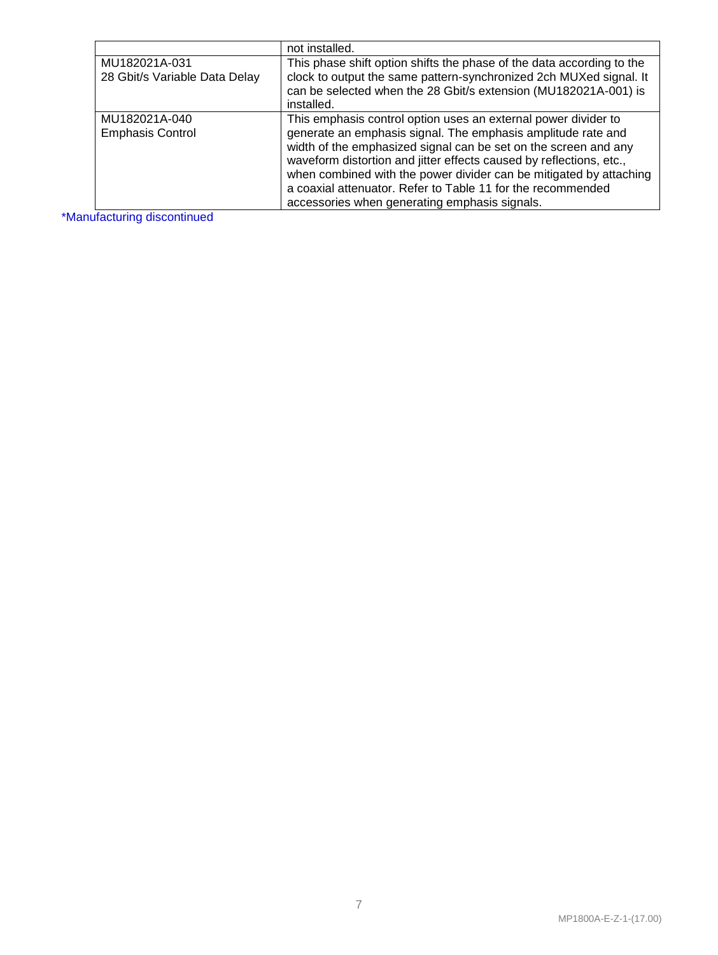|                                                | not installed.                                                                                                                                                                                                                                                                                                                                                                                                                                                 |
|------------------------------------------------|----------------------------------------------------------------------------------------------------------------------------------------------------------------------------------------------------------------------------------------------------------------------------------------------------------------------------------------------------------------------------------------------------------------------------------------------------------------|
| MU182021A-031<br>28 Gbit/s Variable Data Delay | This phase shift option shifts the phase of the data according to the<br>clock to output the same pattern-synchronized 2ch MUXed signal. It<br>can be selected when the 28 Gbit/s extension (MU182021A-001) is                                                                                                                                                                                                                                                 |
|                                                | installed.                                                                                                                                                                                                                                                                                                                                                                                                                                                     |
| MU182021A-040<br><b>Emphasis Control</b>       | This emphasis control option uses an external power divider to<br>generate an emphasis signal. The emphasis amplitude rate and<br>width of the emphasized signal can be set on the screen and any<br>waveform distortion and jitter effects caused by reflections, etc.,<br>when combined with the power divider can be mitigated by attaching<br>a coaxial attenuator. Refer to Table 11 for the recommended<br>accessories when generating emphasis signals. |

\*Manufacturing discontinued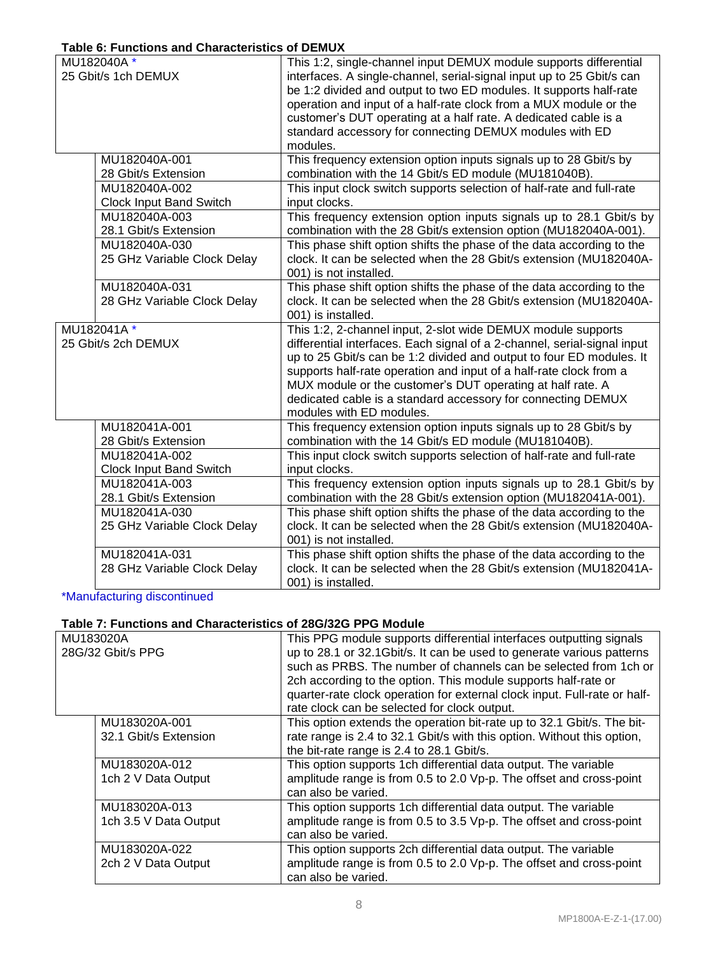## **Table 6: Functions and Characteristics of DEMUX**

| MU182040A*                     | This 1:2, single-channel input DEMUX module supports differential                            |
|--------------------------------|----------------------------------------------------------------------------------------------|
| 25 Gbit/s 1ch DEMUX            | interfaces. A single-channel, serial-signal input up to 25 Gbit/s can                        |
|                                | be 1:2 divided and output to two ED modules. It supports half-rate                           |
|                                | operation and input of a half-rate clock from a MUX module or the                            |
|                                | customer's DUT operating at a half rate. A dedicated cable is a                              |
|                                | standard accessory for connecting DEMUX modules with ED                                      |
|                                | modules.                                                                                     |
| MU182040A-001                  | This frequency extension option inputs signals up to 28 Gbit/s by                            |
| 28 Gbit/s Extension            | combination with the 14 Gbit/s ED module (MU181040B).                                        |
| MU182040A-002                  | This input clock switch supports selection of half-rate and full-rate                        |
| <b>Clock Input Band Switch</b> | input clocks.                                                                                |
| MU182040A-003                  | This frequency extension option inputs signals up to 28.1 Gbit/s by                          |
| 28.1 Gbit/s Extension          | combination with the 28 Gbit/s extension option (MU182040A-001).                             |
| MU182040A-030                  | This phase shift option shifts the phase of the data according to the                        |
| 25 GHz Variable Clock Delay    | clock. It can be selected when the 28 Gbit/s extension (MU182040A-                           |
|                                | 001) is not installed.                                                                       |
| MU182040A-031                  | This phase shift option shifts the phase of the data according to the                        |
| 28 GHz Variable Clock Delay    | clock. It can be selected when the 28 Gbit/s extension (MU182040A-                           |
|                                | 001) is installed.                                                                           |
| MU182041A*                     | This 1:2, 2-channel input, 2-slot wide DEMUX module supports                                 |
| 25 Gbit/s 2ch DEMUX            | differential interfaces. Each signal of a 2-channel, serial-signal input                     |
|                                | up to 25 Gbit/s can be 1:2 divided and output to four ED modules. It                         |
|                                | supports half-rate operation and input of a half-rate clock from a                           |
|                                |                                                                                              |
|                                |                                                                                              |
|                                | MUX module or the customer's DUT operating at half rate. A                                   |
|                                | dedicated cable is a standard accessory for connecting DEMUX                                 |
|                                | modules with ED modules.                                                                     |
| MU182041A-001                  | This frequency extension option inputs signals up to 28 Gbit/s by                            |
| 28 Gbit/s Extension            | combination with the 14 Gbit/s ED module (MU181040B).                                        |
| MU182041A-002                  | This input clock switch supports selection of half-rate and full-rate                        |
| <b>Clock Input Band Switch</b> | input clocks.                                                                                |
| MU182041A-003                  | This frequency extension option inputs signals up to 28.1 Gbit/s by                          |
| 28.1 Gbit/s Extension          | combination with the 28 Gbit/s extension option (MU182041A-001).                             |
| MU182041A-030                  | This phase shift option shifts the phase of the data according to the                        |
| 25 GHz Variable Clock Delay    | clock. It can be selected when the 28 Gbit/s extension (MU182040A-<br>001) is not installed. |
| MU182041A-031                  | This phase shift option shifts the phase of the data according to the                        |
| 28 GHz Variable Clock Delay    | clock. It can be selected when the 28 Gbit/s extension (MU182041A-                           |

\*Manufacturing discontinued

# **Table 7: Functions and Characteristics of 28G/32G PPG Module**

| MU183020A         |                       | This PPG module supports differential interfaces outputting signals       |
|-------------------|-----------------------|---------------------------------------------------------------------------|
| 28G/32 Gbit/s PPG |                       | up to 28.1 or 32.1Gbit/s. It can be used to generate various patterns     |
|                   |                       | such as PRBS. The number of channels can be selected from 1ch or          |
|                   |                       | 2ch according to the option. This module supports half-rate or            |
|                   |                       | quarter-rate clock operation for external clock input. Full-rate or half- |
|                   |                       | rate clock can be selected for clock output.                              |
|                   | MU183020A-001         | This option extends the operation bit-rate up to 32.1 Gbit/s. The bit-    |
|                   | 32.1 Gbit/s Extension | rate range is 2.4 to 32.1 Gbit/s with this option. Without this option,   |
|                   |                       | the bit-rate range is 2.4 to 28.1 Gbit/s.                                 |
|                   | MU183020A-012         | This option supports 1ch differential data output. The variable           |
|                   | 1ch 2 V Data Output   | amplitude range is from 0.5 to 2.0 Vp-p. The offset and cross-point       |
|                   |                       | can also be varied.                                                       |
|                   | MU183020A-013         | This option supports 1ch differential data output. The variable           |
|                   | 1ch 3.5 V Data Output | amplitude range is from 0.5 to 3.5 Vp-p. The offset and cross-point       |
|                   |                       | can also be varied.                                                       |
|                   | MU183020A-022         | This option supports 2ch differential data output. The variable           |
|                   | 2ch 2 V Data Output   | amplitude range is from 0.5 to 2.0 Vp-p. The offset and cross-point       |
|                   |                       | can also be varied.                                                       |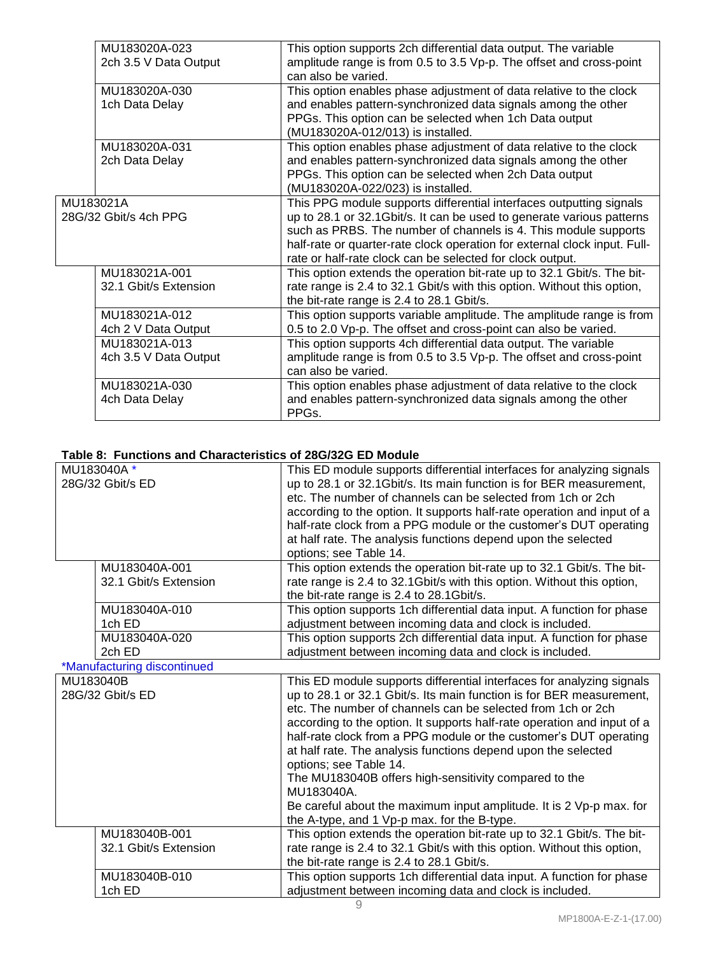|           | MU183020A-023         | This option supports 2ch differential data output. The variable           |
|-----------|-----------------------|---------------------------------------------------------------------------|
|           | 2ch 3.5 V Data Output | amplitude range is from 0.5 to 3.5 Vp-p. The offset and cross-point       |
|           |                       | can also be varied.                                                       |
|           | MU183020A-030         | This option enables phase adjustment of data relative to the clock        |
|           | 1ch Data Delay        | and enables pattern-synchronized data signals among the other             |
|           |                       | PPGs. This option can be selected when 1ch Data output                    |
|           |                       | (MU183020A-012/013) is installed.                                         |
|           | MU183020A-031         | This option enables phase adjustment of data relative to the clock        |
|           | 2ch Data Delay        | and enables pattern-synchronized data signals among the other             |
|           |                       | PPGs. This option can be selected when 2ch Data output                    |
|           |                       | (MU183020A-022/023) is installed.                                         |
| MU183021A |                       | This PPG module supports differential interfaces outputting signals       |
|           | 28G/32 Gbit/s 4ch PPG | up to 28.1 or 32.1 Gbit/s. It can be used to generate various patterns    |
|           |                       | such as PRBS. The number of channels is 4. This module supports           |
|           |                       | half-rate or quarter-rate clock operation for external clock input. Full- |
|           |                       | rate or half-rate clock can be selected for clock output.                 |
|           | MU183021A-001         | This option extends the operation bit-rate up to 32.1 Gbit/s. The bit-    |
|           | 32.1 Gbit/s Extension | rate range is 2.4 to 32.1 Gbit/s with this option. Without this option,   |
|           |                       | the bit-rate range is 2.4 to 28.1 Gbit/s.                                 |
|           | MU183021A-012         | This option supports variable amplitude. The amplitude range is from      |
|           | 4ch 2 V Data Output   | 0.5 to 2.0 Vp-p. The offset and cross-point can also be varied.           |
|           | MU183021A-013         | This option supports 4ch differential data output. The variable           |
|           | 4ch 3.5 V Data Output | amplitude range is from 0.5 to 3.5 Vp-p. The offset and cross-point       |
|           |                       | can also be varied.                                                       |
|           | MU183021A-030         | This option enables phase adjustment of data relative to the clock        |
|           | 4ch Data Delay        | and enables pattern-synchronized data signals among the other             |
|           |                       | PPGs.                                                                     |

#### **Table 8: Functions and Characteristics of 28G/32G ED Module**

|                  | MU183040A*                  | This ED module supports differential interfaces for analyzing signals   |
|------------------|-----------------------------|-------------------------------------------------------------------------|
| 28G/32 Gbit/s ED |                             | up to 28.1 or 32.1Gbit/s. Its main function is for BER measurement,     |
|                  |                             | etc. The number of channels can be selected from 1ch or 2ch             |
|                  |                             | according to the option. It supports half-rate operation and input of a |
|                  |                             | half-rate clock from a PPG module or the customer's DUT operating       |
|                  |                             | at half rate. The analysis functions depend upon the selected           |
|                  |                             | options; see Table 14.                                                  |
|                  | MU183040A-001               | This option extends the operation bit-rate up to 32.1 Gbit/s. The bit-  |
|                  | 32.1 Gbit/s Extension       | rate range is 2.4 to 32.1Gbit/s with this option. Without this option,  |
|                  |                             | the bit-rate range is 2.4 to 28.1 Gbit/s.                               |
|                  | MU183040A-010               | This option supports 1ch differential data input. A function for phase  |
|                  | 1ch ED                      | adjustment between incoming data and clock is included.                 |
|                  | MU183040A-020               | This option supports 2ch differential data input. A function for phase  |
|                  | 2ch ED                      | adjustment between incoming data and clock is included.                 |
|                  | *Manufacturing discontinued |                                                                         |
| MU183040B        |                             | This ED module supports differential interfaces for analyzing signals   |
|                  | 28G/32 Gbit/s ED            | up to 28.1 or 32.1 Gbit/s. Its main function is for BER measurement,    |
|                  |                             | etc. The number of channels can be selected from 1ch or 2ch             |
|                  |                             | according to the option. It supports half-rate operation and input of a |
|                  |                             | half-rate clock from a PPG module or the customer's DUT operating       |
|                  |                             | at half rate. The analysis functions depend upon the selected           |
|                  |                             | options; see Table 14.                                                  |
|                  |                             | The MU183040B offers high-sensitivity compared to the                   |
|                  |                             | MU183040A.                                                              |
|                  |                             | Be careful about the maximum input amplitude. It is 2 Vp-p max. for     |
|                  |                             | the A-type, and 1 Vp-p max. for the B-type.                             |
|                  | MU183040B-001               | This option extends the operation bit-rate up to 32.1 Gbit/s. The bit-  |
|                  | 32.1 Gbit/s Extension       | rate range is 2.4 to 32.1 Gbit/s with this option. Without this option, |
|                  |                             | the bit-rate range is 2.4 to 28.1 Gbit/s.                               |
|                  | MU183040B-010               | This option supports 1ch differential data input. A function for phase  |
|                  | 1ch ED                      | adjustment between incoming data and clock is included.                 |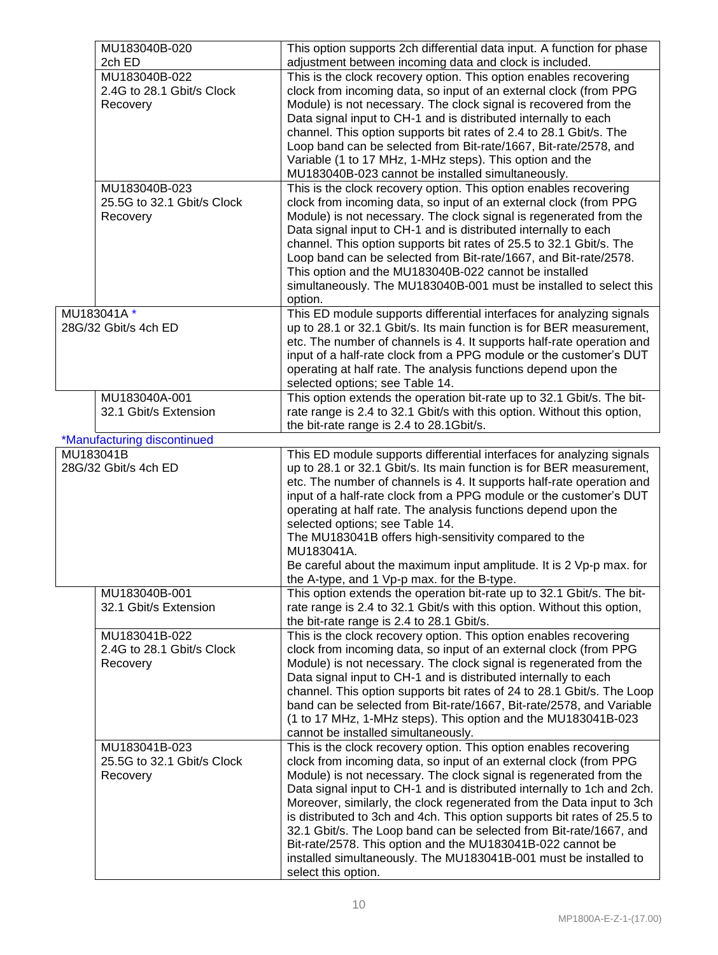|           | MU183040B-020<br>2ch ED     | This option supports 2ch differential data input. A function for phase<br>adjustment between incoming data and clock is included. |
|-----------|-----------------------------|-----------------------------------------------------------------------------------------------------------------------------------|
|           | MU183040B-022               | This is the clock recovery option. This option enables recovering                                                                 |
|           | 2.4G to 28.1 Gbit/s Clock   | clock from incoming data, so input of an external clock (from PPG                                                                 |
|           | Recovery                    | Module) is not necessary. The clock signal is recovered from the                                                                  |
|           |                             | Data signal input to CH-1 and is distributed internally to each                                                                   |
|           |                             | channel. This option supports bit rates of 2.4 to 28.1 Gbit/s. The                                                                |
|           |                             | Loop band can be selected from Bit-rate/1667, Bit-rate/2578, and                                                                  |
|           |                             | Variable (1 to 17 MHz, 1-MHz steps). This option and the                                                                          |
|           |                             | MU183040B-023 cannot be installed simultaneously.                                                                                 |
|           | MU183040B-023               | This is the clock recovery option. This option enables recovering                                                                 |
|           | 25.5G to 32.1 Gbit/s Clock  | clock from incoming data, so input of an external clock (from PPG                                                                 |
|           | Recovery                    | Module) is not necessary. The clock signal is regenerated from the                                                                |
|           |                             | Data signal input to CH-1 and is distributed internally to each                                                                   |
|           |                             | channel. This option supports bit rates of 25.5 to 32.1 Gbit/s. The                                                               |
|           |                             | Loop band can be selected from Bit-rate/1667, and Bit-rate/2578.                                                                  |
|           |                             | This option and the MU183040B-022 cannot be installed                                                                             |
|           |                             | simultaneously. The MU183040B-001 must be installed to select this                                                                |
|           |                             | option.                                                                                                                           |
|           | MU183041A*                  | This ED module supports differential interfaces for analyzing signals                                                             |
|           | 28G/32 Gbit/s 4ch ED        | up to 28.1 or 32.1 Gbit/s. Its main function is for BER measurement,                                                              |
|           |                             | etc. The number of channels is 4. It supports half-rate operation and                                                             |
|           |                             | input of a half-rate clock from a PPG module or the customer's DUT                                                                |
|           |                             | operating at half rate. The analysis functions depend upon the                                                                    |
|           |                             | selected options; see Table 14.                                                                                                   |
|           | MU183040A-001               | This option extends the operation bit-rate up to 32.1 Gbit/s. The bit-                                                            |
|           | 32.1 Gbit/s Extension       | rate range is 2.4 to 32.1 Gbit/s with this option. Without this option,                                                           |
|           |                             | the bit-rate range is 2.4 to 28.1 Gbit/s.                                                                                         |
|           | *Manufacturing discontinued |                                                                                                                                   |
| MU183041B |                             | This ED module supports differential interfaces for analyzing signals                                                             |
|           | 28G/32 Gbit/s 4ch ED        | up to 28.1 or 32.1 Gbit/s. Its main function is for BER measurement,                                                              |
|           |                             | etc. The number of channels is 4. It supports half-rate operation and                                                             |
|           |                             | input of a half-rate clock from a PPG module or the customer's DUT                                                                |
|           |                             | operating at half rate. The analysis functions depend upon the                                                                    |
|           |                             | selected options; see Table 14.                                                                                                   |
|           |                             | The MU183041B offers high-sensitivity compared to the                                                                             |
|           |                             | MU183041A.                                                                                                                        |
|           |                             | Be careful about the maximum input amplitude. It is 2 Vp-p max. for                                                               |
|           |                             | the A-type, and 1 Vp-p max. for the B-type.                                                                                       |
|           | MU183040B-001               | This option extends the operation bit-rate up to 32.1 Gbit/s. The bit-                                                            |
|           | 32.1 Gbit/s Extension       | rate range is 2.4 to 32.1 Gbit/s with this option. Without this option,                                                           |
|           |                             | the bit-rate range is 2.4 to 28.1 Gbit/s.                                                                                         |
|           | MU183041B-022               | This is the clock recovery option. This option enables recovering                                                                 |
|           | 2.4G to 28.1 Gbit/s Clock   | clock from incoming data, so input of an external clock (from PPG                                                                 |
|           | Recovery                    | Module) is not necessary. The clock signal is regenerated from the                                                                |
|           |                             | Data signal input to CH-1 and is distributed internally to each                                                                   |
|           |                             | channel. This option supports bit rates of 24 to 28.1 Gbit/s. The Loop                                                            |
|           |                             | band can be selected from Bit-rate/1667, Bit-rate/2578, and Variable                                                              |
|           |                             | (1 to 17 MHz, 1-MHz steps). This option and the MU183041B-023                                                                     |
|           |                             | cannot be installed simultaneously.                                                                                               |
|           | MU183041B-023               | This is the clock recovery option. This option enables recovering                                                                 |
|           | 25.5G to 32.1 Gbit/s Clock  | clock from incoming data, so input of an external clock (from PPG                                                                 |
|           | Recovery                    | Module) is not necessary. The clock signal is regenerated from the                                                                |
|           |                             | Data signal input to CH-1 and is distributed internally to 1ch and 2ch.                                                           |
|           |                             | Moreover, similarly, the clock regenerated from the Data input to 3ch                                                             |
|           |                             | is distributed to 3ch and 4ch. This option supports bit rates of 25.5 to                                                          |
|           |                             | 32.1 Gbit/s. The Loop band can be selected from Bit-rate/1667, and                                                                |
|           |                             | Bit-rate/2578. This option and the MU183041B-022 cannot be                                                                        |
|           |                             | installed simultaneously. The MU183041B-001 must be installed to                                                                  |
|           |                             | select this option.                                                                                                               |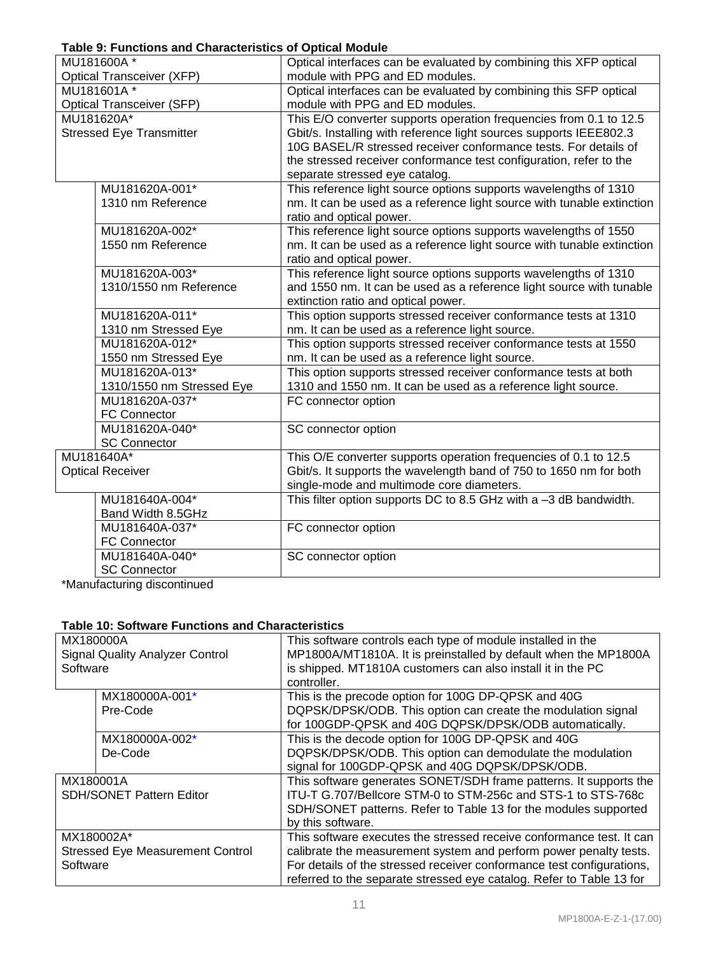## **Table 9: Functions and Characteristics of Optical Module**

|                                  | . apro 9. . anonono ana 9naraotononoo<br>MU181600A* | 5.97134154415<br>Optical interfaces can be evaluated by combining this XFP optical |
|----------------------------------|-----------------------------------------------------|------------------------------------------------------------------------------------|
| <b>Optical Transceiver (XFP)</b> |                                                     | module with PPG and ED modules.                                                    |
| MU181601A*                       |                                                     | Optical interfaces can be evaluated by combining this SFP optical                  |
|                                  | <b>Optical Transceiver (SFP)</b>                    | module with PPG and ED modules.                                                    |
|                                  | MU181620A*                                          | This E/O converter supports operation frequencies from 0.1 to 12.5                 |
|                                  | <b>Stressed Eye Transmitter</b>                     | Gbit/s. Installing with reference light sources supports IEEE802.3                 |
|                                  |                                                     | 10G BASEL/R stressed receiver conformance tests. For details of                    |
|                                  |                                                     | the stressed receiver conformance test configuration, refer to the                 |
|                                  |                                                     | separate stressed eye catalog.                                                     |
|                                  | MU181620A-001*                                      | This reference light source options supports wavelengths of 1310                   |
|                                  | 1310 nm Reference                                   | nm. It can be used as a reference light source with tunable extinction             |
|                                  |                                                     | ratio and optical power.                                                           |
|                                  | MU181620A-002*                                      | This reference light source options supports wavelengths of 1550                   |
|                                  | 1550 nm Reference                                   | nm. It can be used as a reference light source with tunable extinction             |
|                                  |                                                     | ratio and optical power.                                                           |
|                                  | MU181620A-003*                                      | This reference light source options supports wavelengths of 1310                   |
|                                  | 1310/1550 nm Reference                              | and 1550 nm. It can be used as a reference light source with tunable               |
|                                  |                                                     | extinction ratio and optical power.                                                |
|                                  | MU181620A-011*                                      | This option supports stressed receiver conformance tests at 1310                   |
|                                  | 1310 nm Stressed Eye                                | nm. It can be used as a reference light source.                                    |
|                                  | MU181620A-012*                                      | This option supports stressed receiver conformance tests at 1550                   |
|                                  | 1550 nm Stressed Eye                                | nm. It can be used as a reference light source.                                    |
|                                  | MU181620A-013*                                      | This option supports stressed receiver conformance tests at both                   |
|                                  | 1310/1550 nm Stressed Eye<br>MU181620A-037*         | 1310 and 1550 nm. It can be used as a reference light source.                      |
|                                  | <b>FC Connector</b>                                 | FC connector option                                                                |
|                                  | MU181620A-040*                                      | SC connector option                                                                |
|                                  | <b>SC Connector</b>                                 |                                                                                    |
|                                  | MU181640A*                                          | This O/E converter supports operation frequencies of 0.1 to 12.5                   |
|                                  | <b>Optical Receiver</b>                             | Gbit/s. It supports the wavelength band of 750 to 1650 nm for both                 |
|                                  |                                                     | single-mode and multimode core diameters.                                          |
|                                  | MU181640A-004*                                      | This filter option supports DC to 8.5 GHz with a -3 dB bandwidth.                  |
|                                  | Band Width 8.5GHz                                   |                                                                                    |
|                                  | MU181640A-037*                                      | FC connector option                                                                |
|                                  | <b>FC Connector</b>                                 |                                                                                    |
|                                  | MU181640A-040*                                      | SC connector option                                                                |
|                                  | <b>SC Connector</b>                                 |                                                                                    |
|                                  |                                                     |                                                                                    |

\*Manufacturing discontinued

## **Table 10: Software Functions and Characteristics**

| MX180000A                               |                                        | This software controls each type of module installed in the           |
|-----------------------------------------|----------------------------------------|-----------------------------------------------------------------------|
|                                         | <b>Signal Quality Analyzer Control</b> | MP1800A/MT1810A. It is preinstalled by default when the MP1800A       |
| Software                                |                                        | is shipped. MT1810A customers can also install it in the PC           |
|                                         |                                        | controller.                                                           |
|                                         | MX180000A-001*                         | This is the precode option for 100G DP-QPSK and 40G                   |
|                                         | Pre-Code                               | DQPSK/DPSK/ODB. This option can create the modulation signal          |
|                                         |                                        | for 100GDP-QPSK and 40G DQPSK/DPSK/ODB automatically.                 |
|                                         | MX180000A-002*                         | This is the decode option for 100G DP-QPSK and 40G                    |
|                                         | De-Code                                | DQPSK/DPSK/ODB. This option can demodulate the modulation             |
|                                         |                                        | signal for 100GDP-QPSK and 40G DQPSK/DPSK/ODB.                        |
| MX180001A                               |                                        | This software generates SONET/SDH frame patterns. It supports the     |
| <b>SDH/SONET Pattern Editor</b>         |                                        | ITU-T G.707/Bellcore STM-0 to STM-256c and STS-1 to STS-768c          |
|                                         |                                        | SDH/SONET patterns. Refer to Table 13 for the modules supported       |
|                                         |                                        | by this software.                                                     |
|                                         | MX180002A*                             | This software executes the stressed receive conformance test. It can  |
| <b>Stressed Eye Measurement Control</b> |                                        | calibrate the measurement system and perform power penalty tests.     |
| Software                                |                                        | For details of the stressed receiver conformance test configurations, |
|                                         |                                        | referred to the separate stressed eye catalog. Refer to Table 13 for  |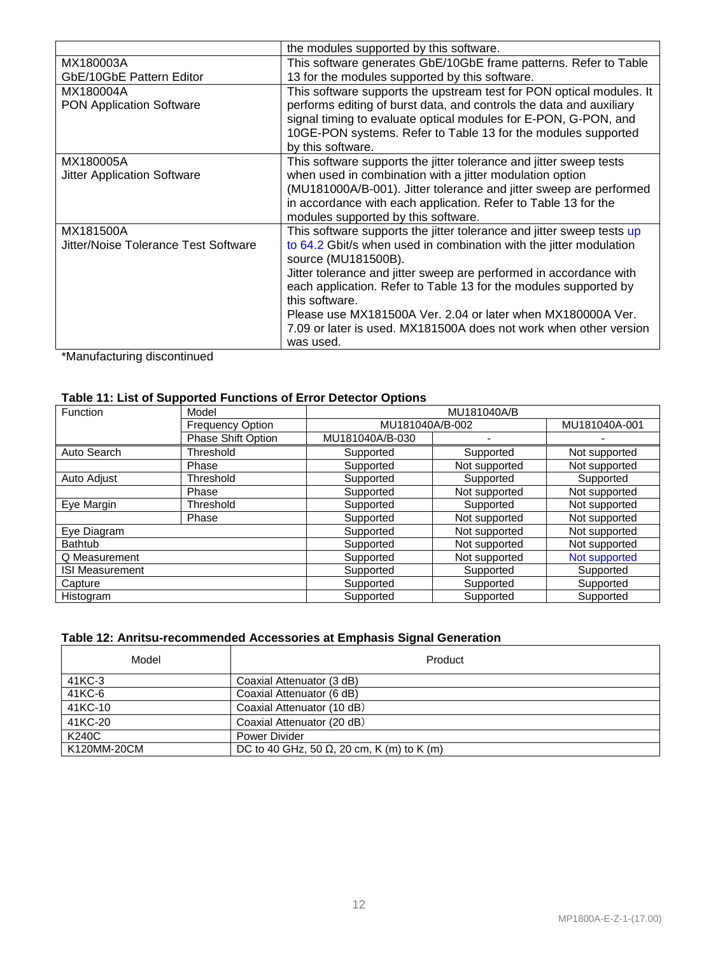|                                      | the modules supported by this software.                               |
|--------------------------------------|-----------------------------------------------------------------------|
| MX180003A                            | This software generates GbE/10GbE frame patterns. Refer to Table      |
| GbE/10GbE Pattern Editor             | 13 for the modules supported by this software.                        |
| MX180004A                            | This software supports the upstream test for PON optical modules. It  |
| <b>PON Application Software</b>      | performs editing of burst data, and controls the data and auxiliary   |
|                                      | signal timing to evaluate optical modules for E-PON, G-PON, and       |
|                                      | 10GE-PON systems. Refer to Table 13 for the modules supported         |
|                                      | by this software.                                                     |
| MX180005A                            | This software supports the jitter tolerance and jitter sweep tests    |
| <b>Jitter Application Software</b>   | when used in combination with a jitter modulation option              |
|                                      | (MU181000A/B-001). Jitter tolerance and jitter sweep are performed    |
|                                      | in accordance with each application. Refer to Table 13 for the        |
|                                      | modules supported by this software.                                   |
| MX181500A                            | This software supports the jitter tolerance and jitter sweep tests up |
| Jitter/Noise Tolerance Test Software | to 64.2 Gbit/s when used in combination with the jitter modulation    |
|                                      | source (MU181500B).                                                   |
|                                      | Jitter tolerance and jitter sweep are performed in accordance with    |
|                                      | each application. Refer to Table 13 for the modules supported by      |
|                                      | this software.                                                        |
|                                      | Please use MX181500A Ver. 2.04 or later when MX180000A Ver.           |
|                                      | 7.09 or later is used. MX181500A does not work when other version     |
|                                      | was used.                                                             |

\*Manufacturing discontinued

# **Table 11: List of Supported Functions of Error Detector Options**

| Function<br>Model      |                         | MU181040A/B     |               |               |  |
|------------------------|-------------------------|-----------------|---------------|---------------|--|
|                        | <b>Frequency Option</b> | MU181040A/B-002 |               | MU181040A-001 |  |
|                        | Phase Shift Option      | MU181040A/B-030 |               |               |  |
| Auto Search            | Threshold               | Supported       | Supported     | Not supported |  |
|                        | Phase                   | Supported       | Not supported | Not supported |  |
| Auto Adjust            | Threshold               | Supported       | Supported     | Supported     |  |
|                        | Phase                   | Supported       | Not supported | Not supported |  |
| Eye Margin             | Threshold               | Supported       | Supported     | Not supported |  |
|                        | Phase                   | Supported       | Not supported | Not supported |  |
| Eye Diagram            |                         | Supported       | Not supported | Not supported |  |
| <b>Bathtub</b>         |                         | Supported       | Not supported | Not supported |  |
| Q Measurement          |                         | Supported       | Not supported | Not supported |  |
| <b>ISI Measurement</b> |                         | Supported       | Supported     | Supported     |  |
| Capture                |                         | Supported       | Supported     | Supported     |  |
| Histogram              |                         | Supported       | Supported     | Supported     |  |

# **Table 12: Anritsu-recommended Accessories at Emphasis Signal Generation**

| Model       | Product                                           |
|-------------|---------------------------------------------------|
| 41KC-3      | Coaxial Attenuator (3 dB)                         |
| 41KC-6      | Coaxial Attenuator (6 dB)                         |
| 41KC-10     | Coaxial Attenuator (10 dB)                        |
| 41KC-20     | Coaxial Attenuator (20 dB)                        |
| K240C       | Power Divider                                     |
| K120MM-20CM | DC to 40 GHz, 50 $\Omega$ , 20 cm, K (m) to K (m) |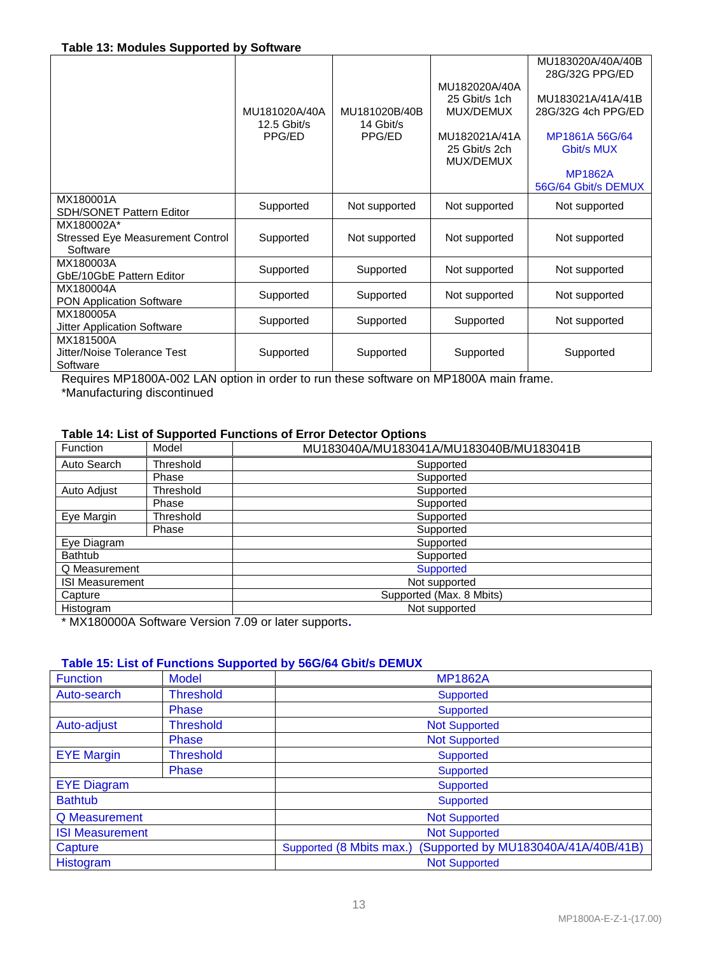|                                                                   | MU181020A/40A<br>$12.5$ Gbit/s<br>PPG/ED | MU181020B/40B<br>14 Gbit/s<br>PPG/ED | MU182020A/40A<br>25 Gbit/s 1ch<br>MUX/DEMUX<br>MU182021A/41A<br>25 Gbit/s 2ch<br>MUX/DEMUX | MU183020A/40A/40B<br>28G/32G PPG/ED<br>MU183021A/41A/41B<br>28G/32G 4ch PPG/ED<br>MP1861A 56G/64<br>Gbit/s MUX<br><b>MP1862A</b><br>56G/64 Gbit/s DEMUX |
|-------------------------------------------------------------------|------------------------------------------|--------------------------------------|--------------------------------------------------------------------------------------------|---------------------------------------------------------------------------------------------------------------------------------------------------------|
| MX180001A<br><b>SDH/SONET Pattern Editor</b>                      | Supported                                | Not supported                        | Not supported                                                                              | Not supported                                                                                                                                           |
| MX180002A*<br><b>Stressed Eye Measurement Control</b><br>Software | Supported                                | Not supported                        | Not supported                                                                              | Not supported                                                                                                                                           |
| MX180003A<br>GbE/10GbE Pattern Editor                             | Supported                                | Supported                            | Not supported                                                                              | Not supported                                                                                                                                           |
| MX180004A<br><b>PON Application Software</b>                      | Supported                                | Supported                            | Not supported                                                                              | Not supported                                                                                                                                           |
| MX180005A<br><b>Jitter Application Software</b>                   | Supported                                | Supported                            | Supported                                                                                  | Not supported                                                                                                                                           |
| MX181500A<br>Jitter/Noise Tolerance Test<br>Software              | Supported                                | Supported                            | Supported                                                                                  | Supported                                                                                                                                               |

Requires MP1800A-002 LAN option in order to run these software on MP1800A main frame.

\*Manufacturing discontinued

# **Table 14: List of Supported Functions of Error Detector Options**

| Function               | Model     | MU183040A/MU183041A/MU183040B/MU183041B |  |
|------------------------|-----------|-----------------------------------------|--|
| Auto Search            | Threshold | Supported                               |  |
|                        | Phase     | Supported                               |  |
| Auto Adjust            | Threshold | Supported                               |  |
|                        | Phase     | Supported                               |  |
| Eye Margin             | Threshold | Supported                               |  |
|                        | Phase     | Supported                               |  |
| Eye Diagram            |           | Supported                               |  |
| Bathtub                |           | Supported                               |  |
| Q Measurement          |           | Supported                               |  |
| <b>ISI Measurement</b> |           | Not supported                           |  |
| Capture                |           | Supported (Max. 8 Mbits)                |  |
| Histogram              |           | Not supported                           |  |

\* MX180000A Software Version 7.09 or later supports**.**

## **Table 15: List of Functions Supported by 56G/64 Gbit/s DEMUX**

| <b>Function</b>                 | <b>Model</b>     | <b>MP1862A</b>                                                  |  |
|---------------------------------|------------------|-----------------------------------------------------------------|--|
| <b>Threshold</b><br>Auto-search |                  | <b>Supported</b>                                                |  |
|                                 | <b>Phase</b>     | <b>Supported</b>                                                |  |
| Auto-adjust                     | <b>Threshold</b> | <b>Not Supported</b>                                            |  |
|                                 | Phase            | <b>Not Supported</b>                                            |  |
| <b>EYE Margin</b>               | <b>Threshold</b> | Supported                                                       |  |
|                                 | Phase            | <b>Supported</b>                                                |  |
| <b>EYE Diagram</b>              |                  | <b>Supported</b>                                                |  |
| <b>Bathtub</b>                  |                  | <b>Supported</b>                                                |  |
| Q Measurement                   |                  | <b>Not Supported</b>                                            |  |
| <b>ISI Measurement</b>          |                  | <b>Not Supported</b>                                            |  |
| Capture                         |                  | Supported by MU183040A/41A/40B/41B)<br>Supported (8 Mbits max.) |  |
| Histogram                       |                  | <b>Not Supported</b>                                            |  |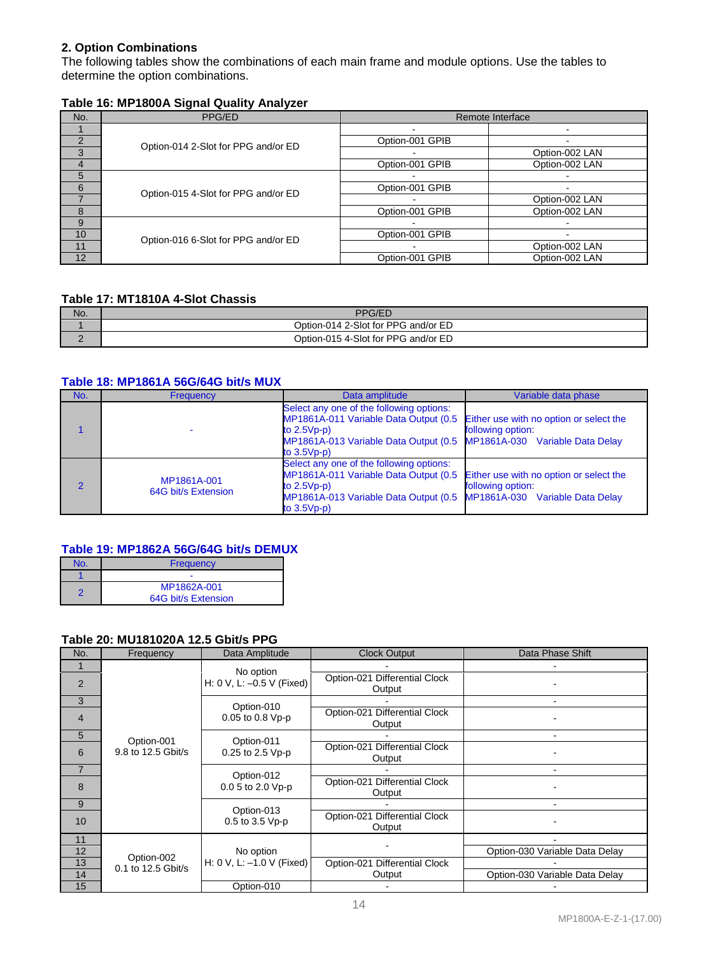## **2. Option Combinations**

The following tables show the combinations of each main frame and module options. Use the tables to determine the option combinations.

# **Table 16: MP1800A Signal Quality Analyzer**

| No.           | PPG/ED                              |                 | Remote Interface |
|---------------|-------------------------------------|-----------------|------------------|
|               |                                     |                 |                  |
| $\mathcal{P}$ | Option-014 2-Slot for PPG and/or ED | Option-001 GPIB |                  |
| 3             |                                     |                 | Option-002 LAN   |
| 4             |                                     | Option-001 GPIB | Option-002 LAN   |
| 5             | Option-015 4-Slot for PPG and/or ED |                 |                  |
| 6             |                                     | Option-001 GPIB |                  |
|               |                                     |                 | Option-002 LAN   |
| 8             |                                     | Option-001 GPIB | Option-002 LAN   |
| 9             |                                     |                 |                  |
| 10            | Option-016 6-Slot for PPG and/or ED | Option-001 GPIB |                  |
| 11            |                                     |                 | Option-002 LAN   |
| 12            |                                     | Option-001 GPIB | Option-002 LAN   |

# **Table 17: MT1810A 4-Slot Chassis**

| No. | <b>PPG/ED</b>                       |
|-----|-------------------------------------|
|     | Option-014 2-Slot for PPG and/or ED |
|     | Option-015 4-Slot for PPG and/or ED |

#### **Table 18: MP1861A 56G/64G bit/s MUX**

| No. | <b>Frequency</b>                   | Data amplitude                                                                                                                                                                                                                     | Variable data phase |
|-----|------------------------------------|------------------------------------------------------------------------------------------------------------------------------------------------------------------------------------------------------------------------------------|---------------------|
|     |                                    | Select any one of the following options:<br>MP1861A-011 Variable Data Output (0.5 Either use with no option or select the<br>to $2.5Vp-p$<br>MP1861A-013 Variable Data Output (0.5 MP1861A-030 Variable Data Delay<br>to $3.5Vp-p$ | following option:   |
|     | MP1861A-001<br>64G bit/s Extension | Select any one of the following options:<br>MP1861A-011 Variable Data Output (0.5 Either use with no option or select the<br>to $2.5Vp-p$<br>MP1861A-013 Variable Data Output (0.5 MP1861A-030 Variable Data Delay<br>to $3.5Vp-p$ | following option:   |

#### **Table 19: MP1862A 56G/64G bit/s DEMUX**

| <b>Frequency</b>                   |  |
|------------------------------------|--|
|                                    |  |
| MP1862A-001<br>64G bit/s Extension |  |

#### **Table 20: MU181020A 12.5 Gbit/s PPG**

| No.             | Frequency          | Data Amplitude                       | <b>Clock Output</b>                     | Data Phase Shift               |
|-----------------|--------------------|--------------------------------------|-----------------------------------------|--------------------------------|
|                 |                    | No option                            |                                         |                                |
| 2               |                    | H: 0 V, L: -0.5 V (Fixed)            | Option-021 Differential Clock<br>Output |                                |
| 3               |                    | Option-010                           |                                         | $\overline{a}$                 |
| 4               |                    | 0.05 to 0.8 Vp-p                     | Option-021 Differential Clock<br>Output |                                |
| $5\phantom{.0}$ | Option-001         | Option-011                           |                                         |                                |
| 6               | 9.8 to 12.5 Gbit/s | 0.25 to 2.5 Vp-p                     | Option-021 Differential Clock<br>Output |                                |
| $\overline{7}$  |                    | Option-012                           |                                         |                                |
| 8               |                    | 0.0 5 to 2.0 Vp-p                    | Option-021 Differential Clock<br>Output |                                |
| 9               |                    | Option-013                           |                                         |                                |
| 10              |                    | 0.5 to 3.5 Vp-p                      | Option-021 Differential Clock<br>Output |                                |
| 11              |                    |                                      |                                         |                                |
| 12              | Option-002         | No option                            |                                         | Option-030 Variable Data Delay |
| 13              | 0.1 to 12.5 Gbit/s | H: $0 \vee$ , L: $-1.0 \vee$ (Fixed) | Option-021 Differential Clock           |                                |
| 14              |                    |                                      | Output                                  | Option-030 Variable Data Delay |
| 15              |                    | Option-010                           |                                         |                                |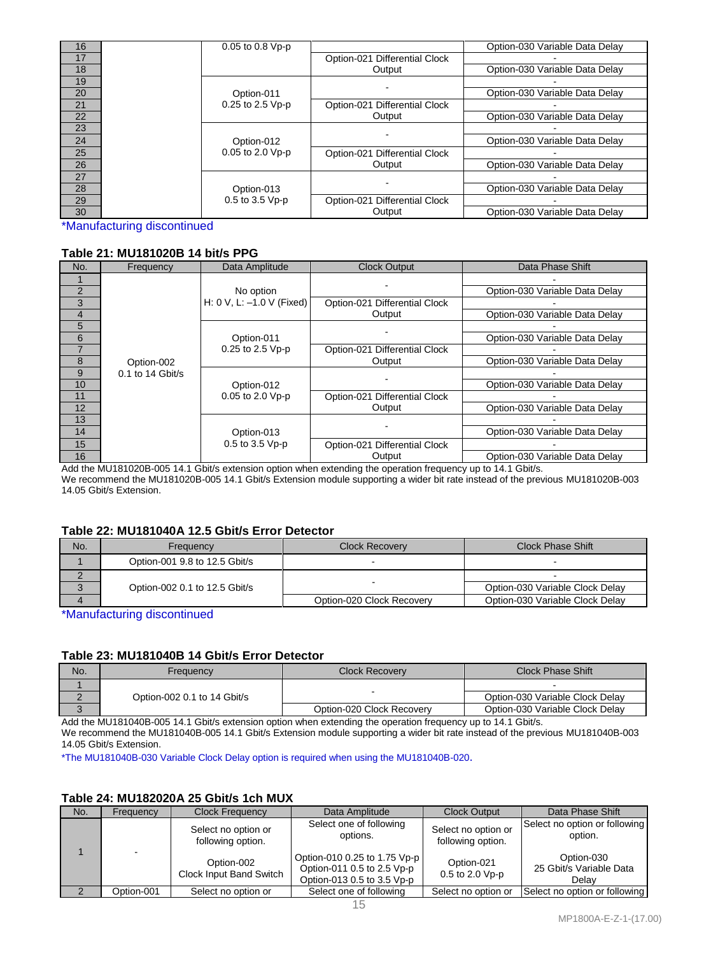| 16 | 0.05 to 0.8 Vp-p |                               | Option-030 Variable Data Delay |
|----|------------------|-------------------------------|--------------------------------|
| 17 |                  | Option-021 Differential Clock |                                |
| 18 |                  | Output                        | Option-030 Variable Data Delay |
| 19 |                  |                               |                                |
| 20 | Option-011       |                               | Option-030 Variable Data Delay |
| 21 | 0.25 to 2.5 Vp-p | Option-021 Differential Clock |                                |
| 22 |                  | Output                        | Option-030 Variable Data Delay |
| 23 |                  |                               |                                |
| 24 | Option-012       |                               | Option-030 Variable Data Delay |
| 25 | 0.05 to 2.0 Vp-p | Option-021 Differential Clock |                                |
| 26 |                  | Output                        | Option-030 Variable Data Delay |
| 27 |                  |                               |                                |
| 28 | Option-013       |                               | Option-030 Variable Data Delay |
| 29 | 0.5 to 3.5 Vp-p  | Option-021 Differential Clock |                                |
| 30 |                  | Output                        | Option-030 Variable Data Delay |

\*Manufacturing discontinued

## **Table 21: MU181020B 14 bit/s PPG**

| No.            | Frequency          | Data Amplitude                 | <b>Clock Output</b>                     | Data Phase Shift               |
|----------------|--------------------|--------------------------------|-----------------------------------------|--------------------------------|
|                |                    |                                |                                         |                                |
| 2              |                    | No option                      |                                         | Option-030 Variable Data Delay |
| 3              |                    | H: 0 V, L: $-1.0$ V (Fixed)    | Option-021 Differential Clock           |                                |
| $\overline{4}$ |                    |                                | Output                                  | Option-030 Variable Data Delay |
| 5              |                    |                                |                                         |                                |
| 6              |                    | Option-011                     |                                         | Option-030 Variable Data Delay |
| 7              |                    | 0.25 to 2.5 Vp-p               | Option-021 Differential Clock<br>Output |                                |
| 8              | Option-002         |                                |                                         | Option-030 Variable Data Delay |
| 9              | $0.1$ to 14 Gbit/s |                                |                                         |                                |
| 10             |                    | Option-012<br>0.05 to 2.0 Vp-p |                                         | Option-030 Variable Data Delay |
| 11             |                    |                                | Option-021 Differential Clock<br>Output |                                |
| 12             |                    |                                |                                         | Option-030 Variable Data Delay |
| 13             |                    |                                |                                         |                                |
| 14             |                    | Option-013                     |                                         | Option-030 Variable Data Delay |
| 15             |                    | 0.5 to 3.5 Vp-p                | Option-021 Differential Clock           |                                |
| 16             |                    |                                | Output                                  | Option-030 Variable Data Delay |

Add the MU181020B-005 14.1 Gbit/s extension option when extending the operation frequency up to 14.1 Gbit/s. We recommend the MU181020B-005 14.1 Gbit/s Extension module supporting a wider bit rate instead of the previous MU181020B-003 14.05 Gbit/s Extension.

#### **Table 22: MU181040A 12.5 Gbit/s Error Detector**

| No. | Frequency                     | <b>Clock Recovery</b>     | Clock Phase Shift               |
|-----|-------------------------------|---------------------------|---------------------------------|
|     | Option-001 9.8 to 12.5 Gbit/s |                           |                                 |
|     |                               |                           |                                 |
|     | Option-002 0.1 to 12.5 Gbit/s |                           | Option-030 Variable Clock Delay |
|     |                               | Option-020 Clock Recovery | Option-030 Variable Clock Delay |

\*Manufacturing discontinued

#### **Table 23: MU181040B 14 Gbit/s Error Detector**

| No. | Frequency                   | <b>Clock Recovery</b>     | Clock Phase Shift               |
|-----|-----------------------------|---------------------------|---------------------------------|
|     |                             |                           |                                 |
|     | Option-002 0.1 to 14 Gbit/s |                           | Option-030 Variable Clock Delay |
| ື   |                             | Option-020 Clock Recovery | Option-030 Variable Clock Delay |

Add the MU181040B-005 14.1 Gbit/s extension option when extending the operation frequency up to 14.1 Gbit/s. We recommend the MU181040B-005 14.1 Gbit/s Extension module supporting a wider bit rate instead of the previous MU181040B-003 14.05 Gbit/s Extension.

\*The MU181040B-030 Variable Clock Delay option is required when using the MU181040B-020.

## **Table 24: MU182020A 25 Gbit/s 1ch MUX**

| No. | Frequency  | <b>Clock Frequency</b>                   | Data Amplitude                                                                           | <b>Clock Output</b>                      | Data Phase Shift                               |
|-----|------------|------------------------------------------|------------------------------------------------------------------------------------------|------------------------------------------|------------------------------------------------|
|     |            | Select no option or<br>following option. | Select one of following<br>options.                                                      | Select no option or<br>following option. | Select no option or following<br>option.       |
|     |            | Option-002<br>Clock Input Band Switch    | Option-010 0.25 to 1.75 Vp-p<br>Option-011 0.5 to 2.5 Vp-p<br>Option-013 0.5 to 3.5 Vp-p | Option-021<br>$0.5$ to 2.0 Vp-p          | Option-030<br>25 Gbit/s Variable Data<br>Delav |
|     | Option-001 | Select no option or                      | Select one of following                                                                  | Select no option or                      | Select no option or following                  |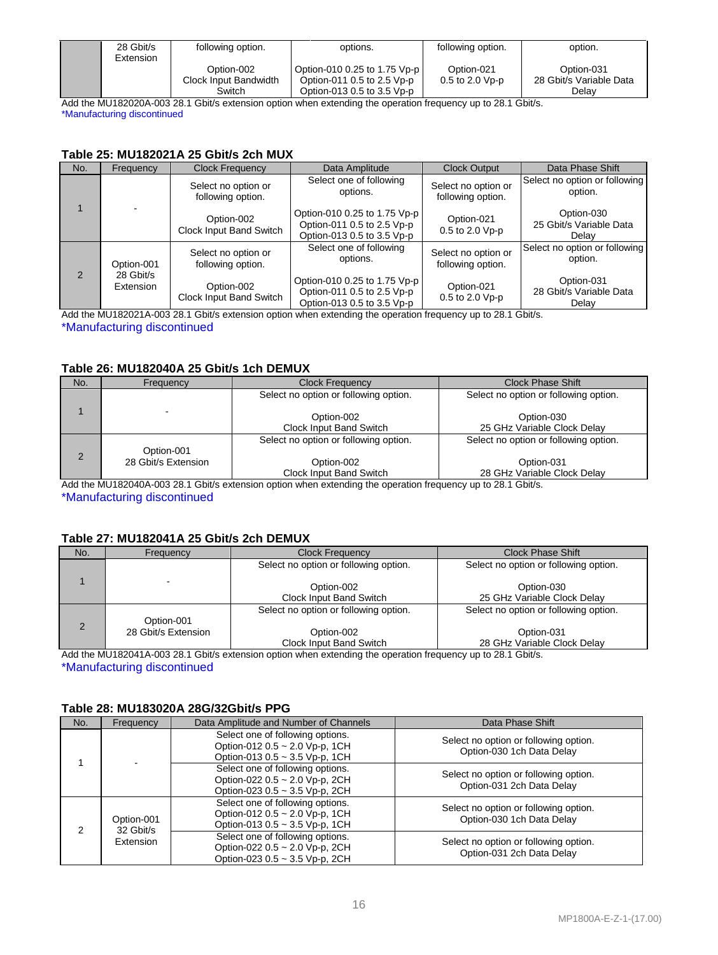| 28 Gbit/s<br>Extension | following option.                   | options.                                                   | following option.                 | option.                               |
|------------------------|-------------------------------------|------------------------------------------------------------|-----------------------------------|---------------------------------------|
|                        | Option-002<br>Clock Input Bandwidth | Option-010 0.25 to 1.75 Vp-p<br>Option-011 0.5 to 2.5 Vp-p | Option-021<br>$0.5$ to $2.0$ Vp-p | Option-031<br>28 Gbit/s Variable Data |
|                        | Switch                              | Option-013 0.5 to 3.5 Vp-p                                 |                                   | Delav                                 |

Add the MU182020A-003 28.1 Gbit/s extension option when extending the operation frequency up to 28.1 Gbit/s. \*Manufacturing discontinued

#### **Table 25: MU182021A 25 Gbit/s 2ch MUX**

| No.           | Frequency              | <b>Clock Frequency</b>                   | Data Amplitude                                                                           | <b>Clock Output</b>                      | Data Phase Shift                               |
|---------------|------------------------|------------------------------------------|------------------------------------------------------------------------------------------|------------------------------------------|------------------------------------------------|
|               |                        | Select no option or<br>following option. | Select one of following<br>options.                                                      | Select no option or<br>following option. | Select no option or following<br>option.       |
|               |                        | Option-002<br>Clock Input Band Switch    | Option-010 0.25 to 1.75 Vp-p<br>Option-011 0.5 to 2.5 Vp-p<br>Option-013 0.5 to 3.5 Vp-p | Option-021<br>0.5 to 2.0 Vp-p            | Option-030<br>25 Gbit/s Variable Data<br>Delay |
|               | Option-001             | Select no option or<br>following option. | Select one of following<br>options.                                                      | Select no option or<br>following option. | Select no option or following<br>option.       |
| $\mathcal{P}$ | 28 Gbit/s<br>Extension | Option-002<br>Clock Input Band Switch    | Option-010 0.25 to 1.75 Vp-p<br>Option-011 0.5 to 2.5 Vp-p<br>Option-013 0.5 to 3.5 Vp-p | Option-021<br>0.5 to 2.0 Vp-p            | Option-031<br>28 Gbit/s Variable Data<br>Delay |

Add the MU182021A-003 28.1 Gbit/s extension option when extending the operation frequency up to 28.1 Gbit/s.

\*Manufacturing discontinued

### **Table 26: MU182040A 25 Gbit/s 1ch DEMUX**

| No. | Frequency           | <b>Clock Frequency</b>                | <b>Clock Phase Shift</b>                  |
|-----|---------------------|---------------------------------------|-------------------------------------------|
|     |                     | Select no option or following option. | Select no option or following option.     |
|     |                     | Option-002<br>Clock Input Band Switch | Option-030<br>25 GHz Variable Clock Delay |
| 2   | Option-001          | Select no option or following option. | Select no option or following option.     |
|     | 28 Gbit/s Extension | Option-002<br>Clock Input Band Switch | Option-031<br>28 GHz Variable Clock Delay |

Add the MU182040A-003 28.1 Gbit/s extension option when extending the operation frequency up to 28.1 Gbit/s. \*Manufacturing discontinued

# **Table 27: MU182041A 25 Gbit/s 2ch DEMUX**

| No.            | Frequency           | <b>Clock Frequency</b>                | <b>Clock Phase Shift</b>                  |
|----------------|---------------------|---------------------------------------|-------------------------------------------|
|                |                     | Select no option or following option. | Select no option or following option.     |
|                |                     | Option-002<br>Clock Input Band Switch | Option-030<br>25 GHz Variable Clock Delay |
| $\overline{2}$ | Option-001          | Select no option or following option. | Select no option or following option.     |
|                | 28 Gbit/s Extension | Option-002                            | Option-031                                |
|                |                     | Clock Input Band Switch               | 28 GHz Variable Clock Delay               |

Add the MU182041A-003 28.1 Gbit/s extension option when extending the operation frequency up to 28.1 Gbit/s. \*Manufacturing discontinued

#### **Table 28: MU183020A 28G/32Gbit/s PPG**

| No. | Frequency               | Data Amplitude and Number of Channels                                                                | Data Phase Shift                                                   |
|-----|-------------------------|------------------------------------------------------------------------------------------------------|--------------------------------------------------------------------|
|     |                         | Select one of following options.<br>Option-012 0.5 ~ 2.0 Vp-p, 1CH<br>Option-013 0.5 ~ 3.5 Vp-p, 1CH | Select no option or following option.<br>Option-030 1ch Data Delay |
|     |                         | Select one of following options.<br>Option-022 0.5 ~ 2.0 Vp-p, 2CH<br>Option-023 0.5 ~ 3.5 Vp-p, 2CH | Select no option or following option.<br>Option-031 2ch Data Delay |
| 2   | Option-001<br>32 Gbit/s | Select one of following options.<br>Option-012 0.5 ~ 2.0 Vp-p, 1CH<br>Option-013 0.5 ~ 3.5 Vp-p, 1CH | Select no option or following option.<br>Option-030 1ch Data Delay |
|     | Extension               | Select one of following options.<br>Option-022 0.5 ~ 2.0 Vp-p, 2CH<br>Option-023 0.5 ~ 3.5 Vp-p, 2CH | Select no option or following option.<br>Option-031 2ch Data Delay |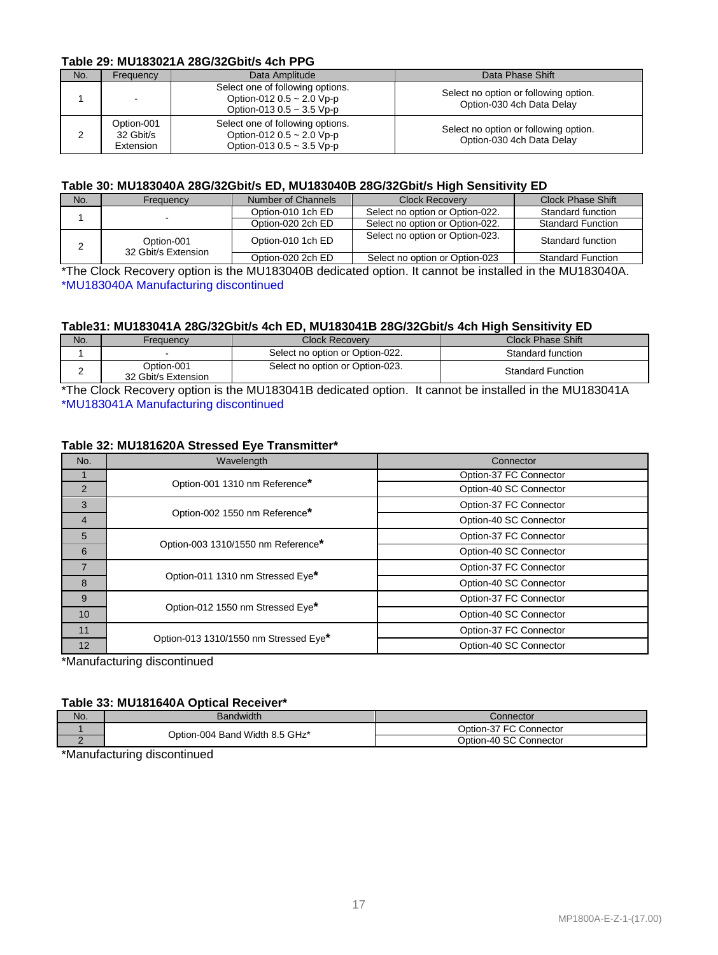#### **Table 29: MU183021A 28G/32Gbit/s 4ch PPG**

| No. | Frequency                            | Data Amplitude                                                                                       | Data Phase Shift                                                   |  |  |  |  |
|-----|--------------------------------------|------------------------------------------------------------------------------------------------------|--------------------------------------------------------------------|--|--|--|--|
|     |                                      | Select one of following options.<br>Option-012 0.5 ~ 2.0 Vp-p<br>Option-013 $0.5 \sim 3.5$ Vp-p      | Select no option or following option.<br>Option-030 4ch Data Delay |  |  |  |  |
|     | Option-001<br>32 Gbit/s<br>Extension | Select one of following options.<br>Option-012 $0.5 \sim 2.0$ Vp-p<br>Option-013 0.5 $\sim$ 3.5 Vp-p | Select no option or following option.<br>Option-030 4ch Data Delay |  |  |  |  |

#### **Table 30: MU183040A 28G/32Gbit/s ED, MU183040B 28G/32Gbit/s High Sensitivity ED**

| No. | Freauencv                         | Number of Channels | Clock Recovery                  | Clock Phase Shift        |
|-----|-----------------------------------|--------------------|---------------------------------|--------------------------|
|     |                                   | Option-010 1ch ED  | Select no option or Option-022. | Standard function        |
|     |                                   | Option-020 2ch ED  | Select no option or Option-022. | <b>Standard Function</b> |
|     | Option-001<br>32 Gbit/s Extension | Option-010 1ch ED  | Select no option or Option-023. | Standard function        |
|     |                                   | Option-020 2ch ED  | Select no option or Option-023  | <b>Standard Function</b> |

\*The Clock Recovery option is the MU183040B dedicated option. It cannot be installed in the MU183040A. \*MU183040A Manufacturing discontinued

#### **Table31: MU183041A 28G/32Gbit/s 4ch ED, MU183041B 28G/32Gbit/s 4ch High Sensitivity ED**

| No. | Freauencv                         | <b>Clock Recoverv</b>           | <b>Clock Phase Shift</b> |
|-----|-----------------------------------|---------------------------------|--------------------------|
|     |                                   | Select no option or Option-022. | Standard function        |
| -   | Option-001<br>32 Gbit/s Extension | Select no option or Option-023. | <b>Standard Function</b> |

\*The Clock Recovery option is the MU183041B dedicated option. It cannot be installed in the MU183041A \*MU183041A Manufacturing discontinued

#### **Table 32: MU181620A Stressed Eye Transmitter\***

| No.            | Wavelength                            | Connector              |  |  |  |  |
|----------------|---------------------------------------|------------------------|--|--|--|--|
|                |                                       | Option-37 FC Connector |  |  |  |  |
| $\mathcal{P}$  | Option-001 1310 nm Reference*         | Option-40 SC Connector |  |  |  |  |
| 3              | Option-002 1550 nm Reference*         | Option-37 FC Connector |  |  |  |  |
| $\overline{4}$ |                                       | Option-40 SC Connector |  |  |  |  |
| 5              | Option-003 1310/1550 nm Reference*    | Option-37 FC Connector |  |  |  |  |
| 6              |                                       | Option-40 SC Connector |  |  |  |  |
| $\overline{7}$ | Option-011 1310 nm Stressed Eye*      | Option-37 FC Connector |  |  |  |  |
| 8              |                                       | Option-40 SC Connector |  |  |  |  |
| 9              |                                       | Option-37 FC Connector |  |  |  |  |
| 10             | Option-012 1550 nm Stressed Eye*      | Option-40 SC Connector |  |  |  |  |
| 11             |                                       | Option-37 FC Connector |  |  |  |  |
| 12             | Option-013 1310/1550 nm Stressed Eye* | Option-40 SC Connector |  |  |  |  |

\*Manufacturing discontinued

#### **Table 33: MU181640A Optical Receiver\***

|                                | Connector              |  |  |  |
|--------------------------------|------------------------|--|--|--|
| Option-004 Band Width 8.5 GHz* | Option-37 FC Connector |  |  |  |
|                                | Option-40 SC Connector |  |  |  |

\*Manufacturing discontinued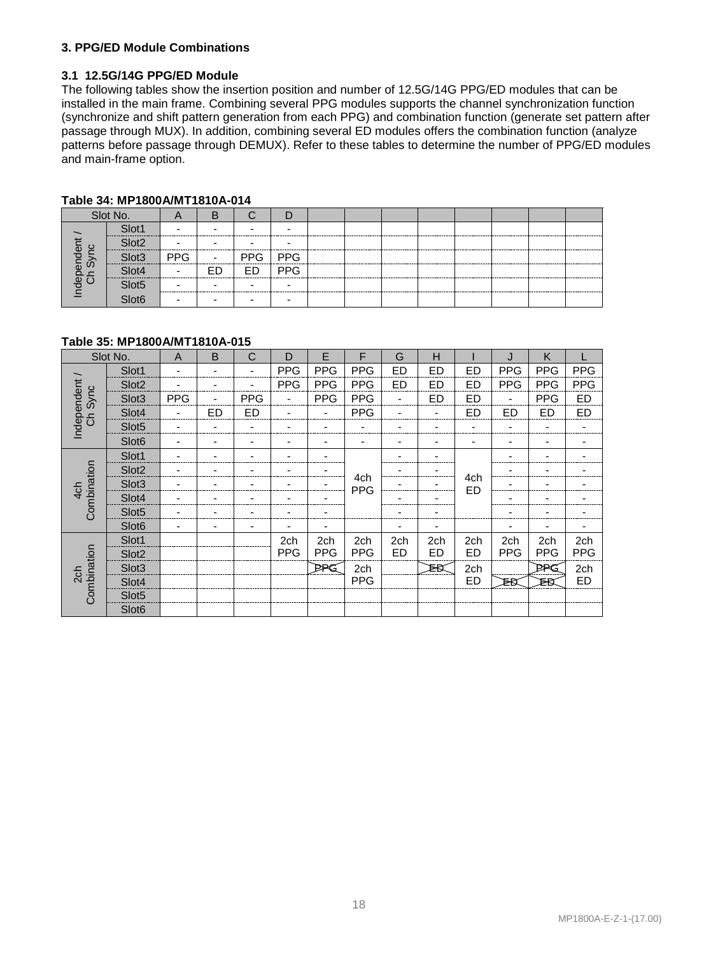#### **3. PPG/ED Module Combinations**

#### **3.1 12.5G/14G PPG/ED Module**

The following tables show the insertion position and number of 12.5G/14G PPG/ED modules that can be installed in the main frame. Combining several PPG modules supports the channel synchronization function (synchronize and shift pattern generation from each PPG) and combination function (generate set pattern after passage through MUX). In addition, combining several ED modules offers the combination function (analyze patterns before passage through DEMUX). Refer to these tables to determine the number of PPG/ED modules and main-frame option.

|                       | Slot No.                       | A     |            |               |   |  |  |  |  |
|-----------------------|--------------------------------|-------|------------|---------------|---|--|--|--|--|
|                       | Slot <sub>1</sub>              |       |            |               |   |  |  |  |  |
|                       | Slot <sub>2</sub><br>--------- |       |            |               | - |  |  |  |  |
|                       | Slot <sub>3</sub>              | I PPG | $\sim 100$ | PPG   PPG     |   |  |  |  |  |
|                       | Slot4                          |       |            | ED   ED   PPG |   |  |  |  |  |
| ndependent<br>Ch Sync | Slot <sub>5</sub>              |       |            |               | - |  |  |  |  |
|                       | Slot <sub>6</sub>              |       |            |               | - |  |  |  |  |

#### **Table 34: MP1800A/MT1810A-014**

#### **Table 35: MP1800A/MT1810A-015**

|                          | Slot No.          | $\overline{A}$ | B              | C          | D          | E                        | F                 | G              | Н         |           | J              | K          |            |
|--------------------------|-------------------|----------------|----------------|------------|------------|--------------------------|-------------------|----------------|-----------|-----------|----------------|------------|------------|
|                          | Slot1             |                |                | ٠          | <b>PPG</b> | <b>PPG</b>               | <b>PPG</b>        | ED             | <b>ED</b> | ED        | <b>PPG</b>     | <b>PPG</b> | <b>PPG</b> |
|                          | Slot <sub>2</sub> |                |                | -          | <b>PPG</b> | <b>PPG</b>               | <b>PPG</b>        | <b>ED</b>      | <b>ED</b> | ED        | <b>PPG</b>     | <b>PPG</b> | <b>PPG</b> |
| Sync                     | Slot <sub>3</sub> | <b>PPG</b>     |                | <b>PPG</b> | ٠          | <b>PPG</b>               | <b>PPG</b>        | $\overline{a}$ | <b>ED</b> | ED        | $\blacksquare$ | <b>PPG</b> | <b>ED</b>  |
| Independent /<br>Ch Sync | Slot4             |                | <b>ED</b>      | <b>ED</b>  |            | $\overline{\phantom{a}}$ | <b>PPG</b>        | ۰              | ٠         | ED        | <b>ED</b>      | <b>ED</b>  | ED         |
|                          | Slot <sub>5</sub> |                | -              | ٠          |            |                          |                   |                |           |           |                |            |            |
|                          | Slot <sub>6</sub> | -              | ٠              | ٠          | -          | ٠                        | -                 | ٠              | ٠         |           | ٠              |            | ۰          |
|                          | Slot1             |                |                |            |            |                          |                   |                |           |           |                |            |            |
| Combination              | Slot <sub>2</sub> |                | ۰              |            |            |                          |                   |                |           |           |                |            |            |
| 4 <sub>ch</sub>          | Slot <sub>3</sub> |                |                |            |            |                          | 4ch<br><b>PPG</b> |                |           | 4ch<br>ED |                |            |            |
|                          | Slot4             |                | -              |            | -          |                          |                   |                |           |           |                |            |            |
|                          | Slot <sub>5</sub> |                | -              |            | -          |                          |                   | ۰              |           |           |                |            |            |
|                          | Slot <sub>6</sub> | -              | $\blacksquare$ | ٠          | ۰          | $\overline{\phantom{a}}$ |                   | ٠              | ٠         |           | -              | -          | ۰          |
|                          | Slot1             |                |                |            | 2ch        | 2ch                      | 2ch               | 2ch            | 2ch       | 2ch       | 2ch            | 2ch        | 2ch        |
|                          | Slot <sub>2</sub> |                |                |            | <b>PPG</b> | <b>PPG</b>               | <b>PPG</b>        | ED             | ED        | ED        | <b>PPG</b>     | <b>PPG</b> | <b>PPG</b> |
| 2 <sub>ch</sub>          | Slot <sub>3</sub> |                |                |            |            | PPG                      | 2ch               |                | ÞВ        | 2ch       |                | PRG        | 2ch        |
|                          | Slot4             |                |                |            |            |                          | <b>PPG</b>        |                |           | ED        | ₽Β             | ₽Β         | ED         |
| Combination              | Slot <sub>5</sub> |                |                |            |            |                          |                   |                |           |           |                |            |            |
|                          | Slot <sub>6</sub> |                |                |            |            |                          |                   |                |           |           |                |            |            |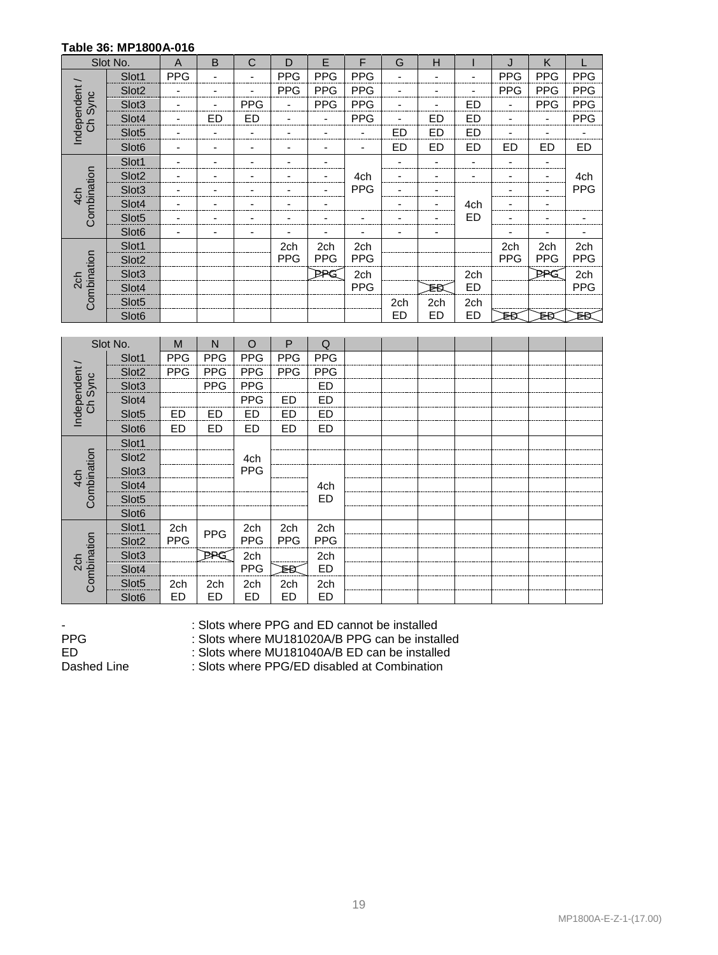#### **Table 36: MP1800A-016**

|                        | Slot No.          | $\overline{A}$ | B  | С          | D          | E              | F                        | G                        | н         |     | J          | K          |            |
|------------------------|-------------------|----------------|----|------------|------------|----------------|--------------------------|--------------------------|-----------|-----|------------|------------|------------|
|                        | Slot1             | <b>PPG</b>     |    |            | <b>PPG</b> | <b>PPG</b>     | <b>PPG</b>               | -                        |           |     | <b>PPG</b> | <b>PPG</b> | <b>PPG</b> |
|                        | Slot <sub>2</sub> |                |    | ۰          | <b>PPG</b> | <b>PPG</b>     | <b>PPG</b>               | ٠                        | -         |     | <b>PPG</b> | <b>PPG</b> | <b>PPG</b> |
| Sync                   | Slot <sub>3</sub> | ۰              |    | <b>PPG</b> | ۰          | <b>PPG</b>     | <b>PPG</b>               | $\overline{\phantom{a}}$ |           | ED  | ۰          | <b>PPG</b> | <b>PPG</b> |
| Independent<br>රි<br>ට | Slot4             | ۰              | ED | <b>ED</b>  | -          | ٠              | <b>PPG</b>               | $\overline{\phantom{a}}$ | ED        | ED  | -          | ۰          | <b>PPG</b> |
|                        | Slot <sub>5</sub> | -              |    | ۰          | -          | $\blacksquare$ | $\overline{\phantom{a}}$ | ED                       | <b>ED</b> | ED  |            |            |            |
|                        | Slot <sub>6</sub> | ۰              |    | -          | ۰          | ٠              | -                        | <b>ED</b>                | ED        | ED  | <b>ED</b>  | ED         | ED         |
|                        | Slot1             | -              |    |            |            | -              |                          |                          | ٠         |     |            |            |            |
| Combination            | Slot <sub>2</sub> |                |    |            |            | -              | 4ch                      |                          |           |     |            |            | 4ch        |
| 4 <sub>ch</sub>        | Slot <sub>3</sub> |                |    |            |            | $\blacksquare$ | <b>PPG</b>               |                          |           |     |            |            | <b>PPG</b> |
|                        | Slot4             | -              |    |            |            | ۰              |                          | ۰                        | ۰         | 4ch |            |            |            |
|                        | Slot <sub>5</sub> | -              |    |            |            | ۰              | ٠                        | ٠                        |           | ED  |            |            |            |
|                        | Slot <sub>6</sub> | -              |    |            | -          | $\blacksquare$ | ۰                        | ٠                        | -         |     |            |            | ۰          |
|                        | Slot1             |                |    |            | 2ch        | 2ch            | 2ch                      |                          |           |     | 2ch        | 2ch        | 2ch        |
|                        | Slot <sub>2</sub> |                |    |            | <b>PPG</b> | <b>PPG</b>     | <b>PPG</b>               |                          |           |     | <b>PPG</b> | <b>PPG</b> | <b>PPG</b> |
| 2 <sub>ch</sub>        | Slot <sub>3</sub> |                |    |            |            | PPG            | 2ch                      |                          |           | 2ch |            | PPG        | 2ch        |
|                        | Slot4             |                |    |            |            |                | <b>PPG</b>               |                          | ₹Β        | ED  |            |            | <b>PPG</b> |
| Combination            | Slot <sub>5</sub> |                |    |            |            |                |                          | 2ch                      | 2ch       | 2ch |            |            |            |
|                        | Slot <sub>6</sub> |                |    |            |            |                |                          | ED                       | ED        | ED  | ₹Β         | ₽Β         | ₽Β         |

|                       | Slot No.          | M          | N          | $\circ$    | P          | Q          |  |  |  |  |
|-----------------------|-------------------|------------|------------|------------|------------|------------|--|--|--|--|
|                       | Slot1             | <b>PPG</b> | <b>PPG</b> | <b>PPG</b> | <b>PPG</b> | <b>PPG</b> |  |  |  |  |
| Independent /<br>Sync | Slot <sub>2</sub> | <b>PPG</b> | <b>PPG</b> | <b>PPG</b> | <b>PPG</b> | <b>PPG</b> |  |  |  |  |
|                       | Slot <sub>3</sub> |            | <b>PPG</b> | <b>PPG</b> |            | <b>ED</b>  |  |  |  |  |
| රි<br>ට               | Slot4             |            |            | <b>PPG</b> | <b>ED</b>  | <b>ED</b>  |  |  |  |  |
|                       | Slot <sub>5</sub> | ED         | ED         | <b>ED</b>  | ED         | ED         |  |  |  |  |
|                       | Slot <sub>6</sub> | ED         | <b>ED</b>  | <b>ED</b>  | ED         | <b>ED</b>  |  |  |  |  |
|                       | Slot1             |            |            |            |            |            |  |  |  |  |
| Combination           | Slot <sub>2</sub> |            |            | 4ch        |            |            |  |  |  |  |
| 4 <sub>ch</sub>       | Slot <sub>3</sub> |            |            | <b>PPG</b> |            |            |  |  |  |  |
|                       | Slot4             |            |            |            |            | 4ch        |  |  |  |  |
|                       | Slot <sub>5</sub> |            |            |            |            | ED         |  |  |  |  |
|                       | Slot <sub>6</sub> |            |            |            |            |            |  |  |  |  |
|                       | Slot1             | 2ch        | <b>PPG</b> | 2ch        | 2ch        | 2ch        |  |  |  |  |
|                       | Slot <sub>2</sub> | <b>PPG</b> |            | <b>PPG</b> | <b>PPG</b> | <b>PPG</b> |  |  |  |  |
| 2 <sub>ch</sub>       | Slot <sub>3</sub> |            | PRG        | 2ch        |            | 2ch        |  |  |  |  |
|                       | Slot4             |            |            | <b>PPG</b> | ÞΒ         | ED         |  |  |  |  |
| Combination           | Slot <sub>5</sub> | 2ch        | 2ch        | 2ch        | 2ch        | 2ch        |  |  |  |  |
|                       | Slot <sub>6</sub> | ED         | ED         | ED         | ED         | ED         |  |  |  |  |

-<br>
Slots where PPG and ED cannot be installed<br>
PPG can be installed<br>
Slots where MU181020A/B PPG can be installed

PPG : Slots where MU181020A/B PPG can be installed<br>ED : Slots where MU181040A/B ED can be installed

: Slots where MU181040A/B ED can be installed

Dashed Line : Slots where PPG/ED disabled at Combination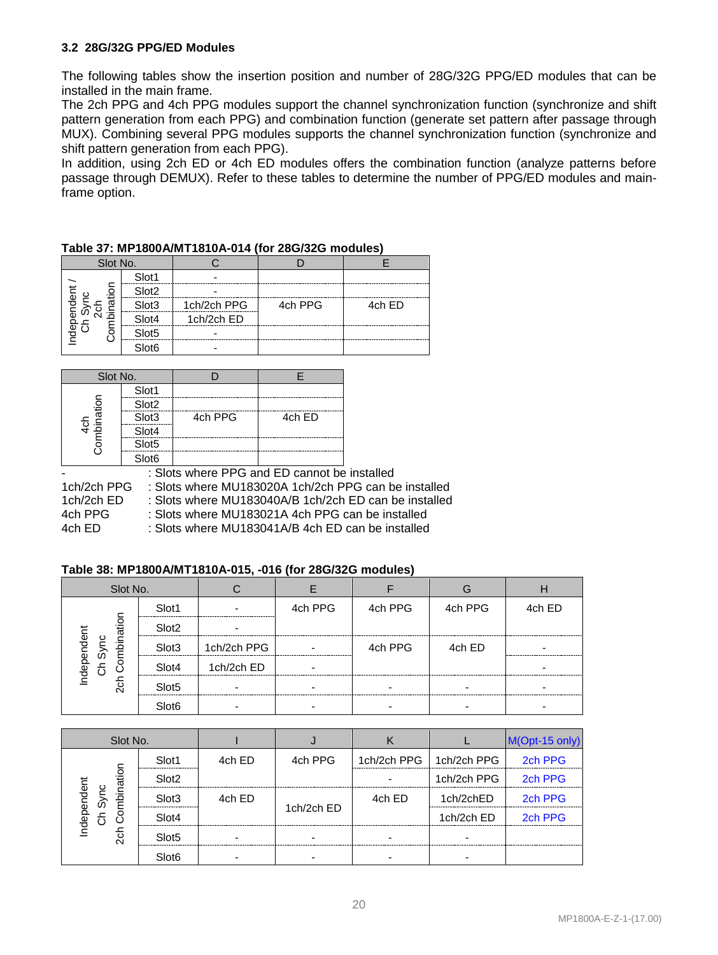#### **3.2 28G/32G PPG/ED Modules**

The following tables show the insertion position and number of 28G/32G PPG/ED modules that can be installed in the main frame.

The 2ch PPG and 4ch PPG modules support the channel synchronization function (synchronize and shift pattern generation from each PPG) and combination function (generate set pattern after passage through MUX). Combining several PPG modules supports the channel synchronization function (synchronize and shift pattern generation from each PPG).

In addition, using 2ch ED or 4ch ED modules offers the combination function (analyze patterns before passage through DEMUX). Refer to these tables to determine the number of PPG/ED modules and mainframe option.

| Slot No. |                   |             |         |        |  |  |
|----------|-------------------|-------------|---------|--------|--|--|
|          | Slot1             |             |         |        |  |  |
| ation    | Slot <sub>2</sub> |             |         |        |  |  |
| ident    | Slot3             | 1ch/2ch PPG | 4ch PPG | 4ch ED |  |  |
| æ<br>:ਨ  | Slot4             | 1ch/2ch ED  |         |        |  |  |
| ebr<br>O | Slot <sub>5</sub> | -           |         |        |  |  |
|          | Slot <sub>6</sub> |             |         |        |  |  |

#### **Table 37: MP1800A/MT1810A-014 (for 28G/32G modules)**

| Slot No.    |                   |         |        |
|-------------|-------------------|---------|--------|
|             | Slot1             |         |        |
| Combination | Slot <sub>2</sub> |         |        |
|             | Slot3             | 4ch PPG | 4ch ED |
| <u>र्द</u>  | Slot4             |         |        |
|             | Slot5             |         |        |
|             | Slot6             |         |        |

- : Slots where PPG and ED cannot be installed<br>1ch/2ch PPG : Slots where MU183020A 1ch/2ch PPG can b : Slots where MU183020A 1ch/2ch PPG can be installed 1ch/2ch ED : Slots where MU183040A/B 1ch/2ch ED can be installed 4ch PPG : Slots where MU183021A 4ch PPG can be installed 4ch ED : Slots where MU183041A/B 4ch ED can be installed

#### **Table 38: MP1800A/MT1810A-015, -016 (for 28G/32G modules)**

| Slot No.                                 |                   |             |         |         |         |        |
|------------------------------------------|-------------------|-------------|---------|---------|---------|--------|
|                                          | Slot1             |             | 4ch PPG | 4ch PPG | 4ch PPG | 4ch ED |
| Independent<br>Ch Sync<br>ch Combinatior | Slot <sub>2</sub> |             |         |         |         |        |
|                                          | Slot <sub>3</sub> | 1ch/2ch PPG |         | 4ch PPG | 4ch ED  |        |
|                                          | Slot4             | 1ch/2ch ED  |         |         |         |        |
| ਨ੍ਹ                                      | Slot <sub>5</sub> |             |         |         |         |        |
|                                          | Slot <sub>6</sub> |             |         |         |         |        |

| Slot No.                         |                   |        |            |                           |             | M(Opt-15 only) |
|----------------------------------|-------------------|--------|------------|---------------------------|-------------|----------------|
|                                  | Slot1             | 4ch ED | 4ch PPG    | 1ch/2ch PPG   1ch/2ch PPG |             | 2ch PPG        |
| nation                           | Slot <sub>2</sub> |        |            |                           | 1ch/2ch PPG | 2ch PPG        |
| ndependent<br>Ch Sync<br>Combina | Slot <sub>3</sub> | 4ch ED |            | 4ch ED                    | 1ch/2chED   | 2ch PPG        |
|                                  | Slot4             |        | 1ch/2ch ED |                           | 1ch/2ch ED  | 2ch PPG        |
| ਨ੍ਹ                              | Slot <sub>5</sub> |        |            |                           |             |                |
|                                  | Slot <sub>6</sub> |        |            |                           |             |                |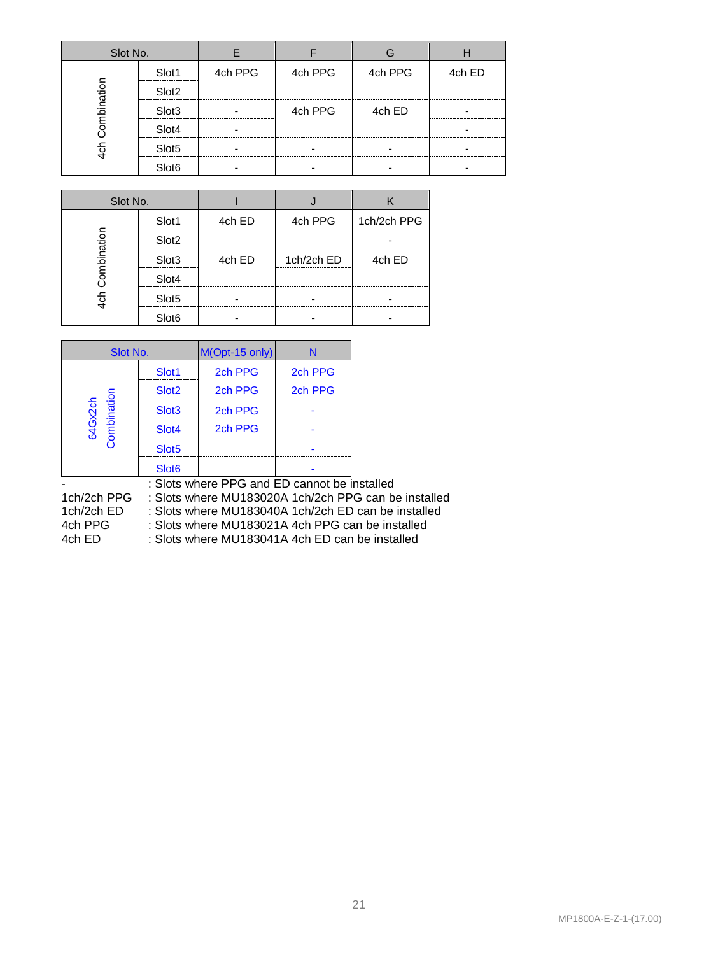| Slot No.    |                   |         |         |         |        |
|-------------|-------------------|---------|---------|---------|--------|
|             | Slot1             | 4ch PPG | 4ch PPG | 4ch PPG | 4ch ED |
| Combination | Slot <sub>2</sub> |         |         |         |        |
|             | Slot <sub>3</sub> |         | 4ch PPG | 4ch ED  |        |
|             | Slot4             |         |         |         |        |
| 습<br>4      | Slot <sub>5</sub> |         |         |         |        |
|             | Slot <sub>6</sub> |         |         |         |        |

| Slot No.    |                   |        |            |             |
|-------------|-------------------|--------|------------|-------------|
|             | Slot1             | 4ch ED | 4ch PPG    | 1ch/2ch PPG |
| Combination | Slot <sub>2</sub> |        |            |             |
|             | Slot <sub>3</sub> | 4ch ED | 1ch/2ch ED | 4ch ED      |
|             | Slot4             |        |            |             |
| $4$ ch      | Slot <sub>5</sub> |        |            |             |
|             | Slot <sub>6</sub> |        |            |             |

| Slot No.               |                   | M(Opt-15 only) | N       |
|------------------------|-------------------|----------------|---------|
|                        | Slot <sub>1</sub> | 2ch PPG        | 2ch PPG |
|                        | Slot <sub>2</sub> | 2ch PPG        | 2ch PPG |
|                        | Slot <sub>3</sub> | 2ch PPG        |         |
| Combination<br>64Gx2ch | Slot4             | 2ch PPG        |         |
|                        | Slot <sub>5</sub> |                |         |
|                        | Slot <sub>6</sub> |                |         |

: Slots where PPG and ED cannot be installed<br>1ch/2ch PPG : Slots where MU183020A 1ch/2ch PPG can be

1ch/2ch PPG : Slots where MU183020A 1ch/2ch PPG can be installed<br>1ch/2ch ED : Slots where MU183040A 1ch/2ch ED can be installed

1ch/2ch ED : Slots where MU183040A 1ch/2ch ED can be installed<br>4ch PPG : Slots where MU183021A 4ch PPG can be installed

4ch PPG : Slots where MU183021A 4ch PPG can be installed<br>4ch ED : Slots where MU183041A 4ch ED can be installed : Slots where MU183041A 4ch ED can be installed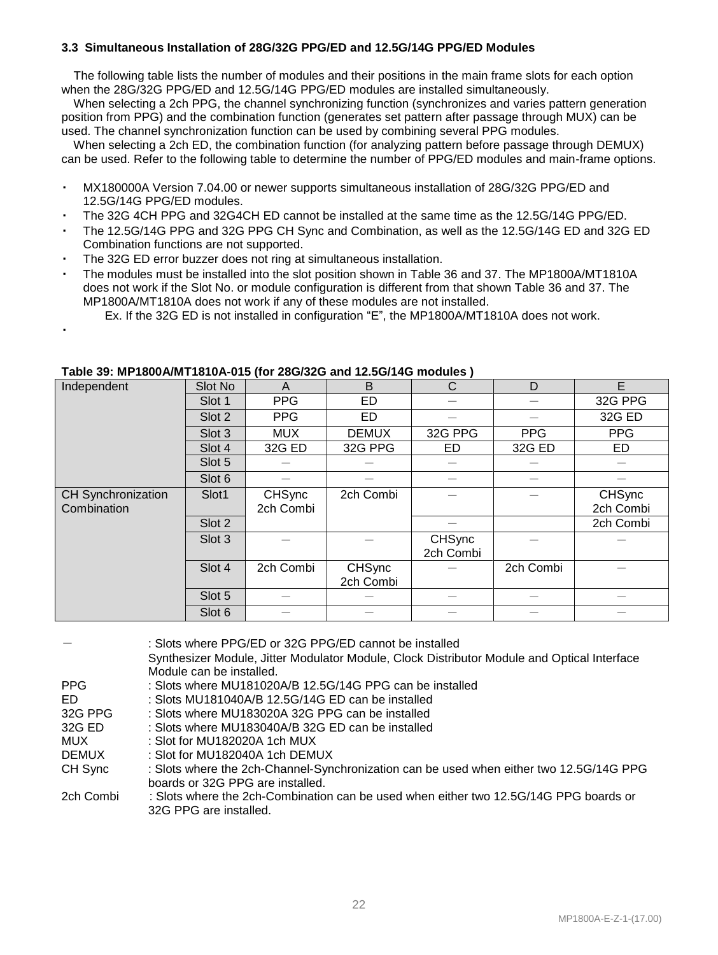#### **3.3 Simultaneous Installation of 28G/32G PPG/ED and 12.5G/14G PPG/ED Modules**

The following table lists the number of modules and their positions in the main frame slots for each option when the 28G/32G PPG/ED and 12.5G/14G PPG/ED modules are installed simultaneously.

When selecting a 2ch PPG, the channel synchronizing function (synchronizes and varies pattern generation position from PPG) and the combination function (generates set pattern after passage through MUX) can be used. The channel synchronization function can be used by combining several PPG modules.

When selecting a 2ch ED, the combination function (for analyzing pattern before passage through DEMUX) can be used. Refer to the following table to determine the number of PPG/ED modules and main-frame options.

- ・ MX180000A Version 7.04.00 or newer supports simultaneous installation of 28G/32G PPG/ED and 12.5G/14G PPG/ED modules.
- ・ The 32G 4CH PPG and 32G4CH ED cannot be installed at the same time as the 12.5G/14G PPG/ED.
- ・ The 12.5G/14G PPG and 32G PPG CH Sync and Combination, as well as the 12.5G/14G ED and 32G ED Combination functions are not supported.
- The 32G ED error buzzer does not ring at simultaneous installation.

・

- The modules must be installed into the slot position shown in Table 36 and 37. The MP1800A/MT1810A does not work if the Slot No. or module configuration is different from that shown Table 36 and 37. The MP1800A/MT1810A does not work if any of these modules are not installed.
	- Ex. If the 32G ED is not installed in configuration "E", the MP1800A/MT1810A does not work.

| Independent                              | Slot No | A                          | B                          | C                   | D          | E                          |
|------------------------------------------|---------|----------------------------|----------------------------|---------------------|------------|----------------------------|
|                                          | Slot 1  | <b>PPG</b>                 | ED                         |                     |            | 32G PPG                    |
|                                          | Slot 2  | <b>PPG</b>                 | <b>ED</b>                  |                     |            | 32G ED                     |
|                                          | Slot 3  | <b>MUX</b>                 | <b>DEMUX</b>               | 32G PPG             | <b>PPG</b> | <b>PPG</b>                 |
|                                          | Slot 4  | 32G ED                     | 32G PPG                    | ED                  | 32G ED     | ED                         |
|                                          | Slot 5  |                            |                            |                     |            |                            |
|                                          | Slot 6  |                            |                            |                     |            |                            |
| <b>CH Synchronization</b><br>Combination | Slot1   | <b>CHSync</b><br>2ch Combi | 2ch Combi                  |                     |            | <b>CHSync</b><br>2ch Combi |
|                                          | Slot 2  |                            |                            |                     |            | 2ch Combi                  |
|                                          | Slot 3  |                            |                            | CHSync<br>2ch Combi |            |                            |
|                                          | Slot 4  | 2ch Combi                  | <b>CHSync</b><br>2ch Combi |                     | 2ch Combi  |                            |
|                                          | Slot 5  |                            |                            |                     |            |                            |
|                                          | Slot 6  |                            |                            |                     |            |                            |

# **Table 39: MP1800A/MT1810A-015 (for 28G/32G and 12.5G/14G modules )**

|              | : Slots where PPG/ED or 32G PPG/ED cannot be installed                                      |
|--------------|---------------------------------------------------------------------------------------------|
|              | Synthesizer Module, Jitter Modulator Module, Clock Distributor Module and Optical Interface |
|              | Module can be installed.                                                                    |
| <b>PPG</b>   | : Slots where MU181020A/B 12.5G/14G PPG can be installed                                    |
| ED           | : Slots MU181040A/B 12.5G/14G ED can be installed                                           |
| 32G PPG      | : Slots where MU183020A 32G PPG can be installed                                            |
| 32G ED       | : Slots where MU183040A/B 32G ED can be installed                                           |
| MUX          | $\pm$ Slot for MU182020A 1ch MUX                                                            |
| <b>DEMUX</b> | : Slot for MU182040A 1ch DEMUX                                                              |
| CH Sync      | : Slots where the 2ch-Channel-Synchronization can be used when either two 12.5G/14G PPG     |
|              | boards or 32G PPG are installed.                                                            |
| 2ch Combi    | : Slots where the 2ch-Combination can be used when either two 12.5G/14G PPG boards or       |
|              | 32G PPG are installed.                                                                      |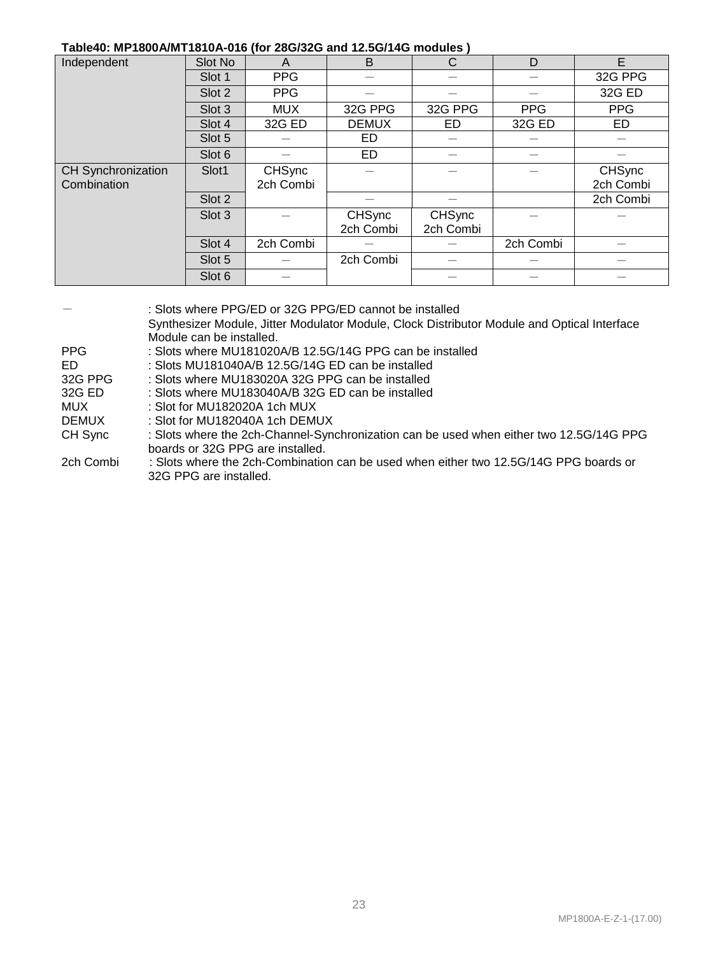#### **Table40: MP1800A/MT1810A-016 (for 28G/32G and 12.5G/14G modules )**

| Independent        | Slot No | A             | B             | C             | D          | E             |
|--------------------|---------|---------------|---------------|---------------|------------|---------------|
|                    | Slot 1  | <b>PPG</b>    |               |               |            | 32G PPG       |
|                    | Slot 2  | <b>PPG</b>    |               |               |            | 32G ED        |
|                    | Slot 3  | <b>MUX</b>    | 32G PPG       | 32G PPG       | <b>PPG</b> | <b>PPG</b>    |
|                    | Slot 4  | 32G ED        | <b>DEMUX</b>  | ED            | 32G ED     | ED            |
|                    | Slot 5  |               | ED            |               |            |               |
|                    | Slot 6  |               | ED            |               |            |               |
| CH Synchronization | Slot1   | <b>CHSync</b> |               |               |            | <b>CHSync</b> |
| Combination        |         | 2ch Combi     |               |               |            | 2ch Combi     |
|                    | Slot 2  |               |               |               |            | 2ch Combi     |
|                    | Slot 3  |               | <b>CHSync</b> | <b>CHSync</b> |            |               |
|                    |         |               | 2ch Combi     | 2ch Combi     |            |               |
|                    | Slot 4  | 2ch Combi     |               |               | 2ch Combi  |               |
|                    | Slot 5  |               | 2ch Combi     |               |            |               |
|                    | Slot 6  |               |               |               |            |               |

|              | : Slots where PPG/ED or 32G PPG/ED cannot be installed<br>Synthesizer Module, Jitter Modulator Module, Clock Distributor Module and Optical Interface<br>Module can be installed. |
|--------------|-----------------------------------------------------------------------------------------------------------------------------------------------------------------------------------|
| <b>PPG</b>   | : Slots where MU181020A/B 12.5G/14G PPG can be installed                                                                                                                          |
| ED.          | : Slots MU181040A/B 12.5G/14G ED can be installed                                                                                                                                 |
| 32G PPG      | : Slots where MU183020A 32G PPG can be installed                                                                                                                                  |
| 32G ED       | : Slots where MU183040A/B 32G ED can be installed                                                                                                                                 |
| MUX          | : Slot for MU182020A 1 $ch$ MUX                                                                                                                                                   |
| <b>DEMUX</b> | $\pm$ Slot for MU182040A 1ch DEMUX.                                                                                                                                               |
| CH Sync      | : Slots where the 2ch-Channel-Synchronization can be used when either two 12.5G/14G PPG<br>boards or 32G PPG are installed.                                                       |
| 2ch Combi    | : Slots where the 2ch-Combination can be used when either two 12.5G/14G PPG boards or<br>32G PPG are installed.                                                                   |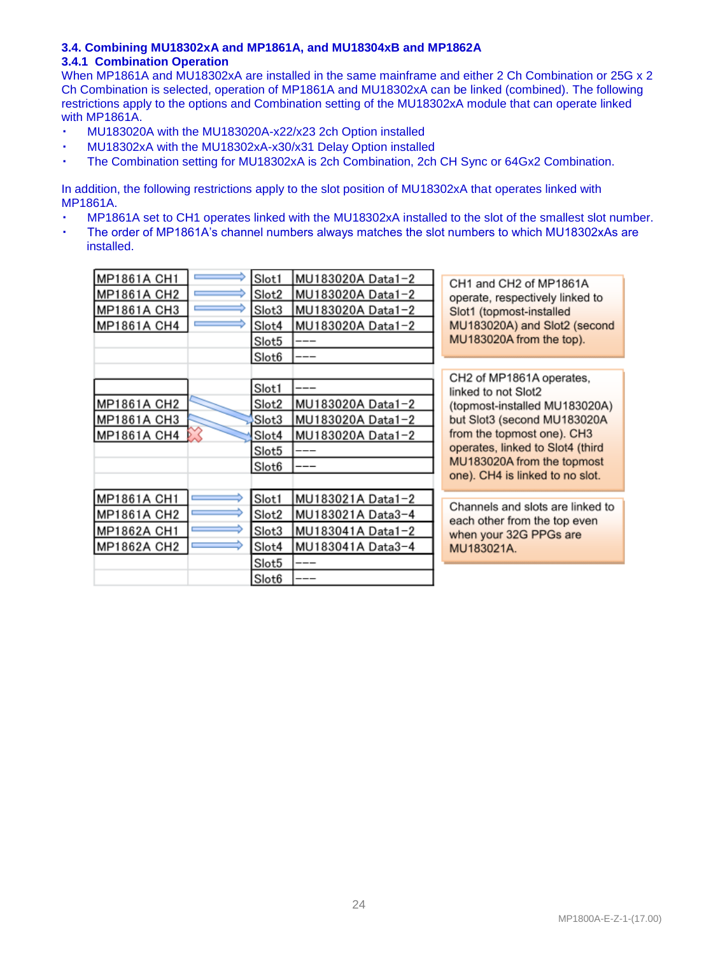#### **3.4. Combining MU18302xA and MP1861A, and MU18304xB and MP1862A 3.4.1 Combination Operation**

When MP1861A and MU18302xA are installed in the same mainframe and either 2 Ch Combination or 25G x 2 Ch Combination is selected, operation of MP1861A and MU18302xA can be linked (combined). The following restrictions apply to the options and Combination setting of the MU18302xA module that can operate linked with MP1861A.

- MU183020A with the MU183020A-x22/x23 2ch Option installed
- MU18302xA with the MU18302xA-x30/x31 Delay Option installed
- The Combination setting for MU18302xA is 2ch Combination, 2ch CH Sync or 64Gx2 Combination.

In addition, the following restrictions apply to the slot position of MU18302xA that operates linked with MP1861A.

- MP1861A set to CH1 operates linked with the MU18302xA installed to the slot of the smallest slot number.
- The order of MP1861A's channel numbers always matches the slot numbers to which MU18302xAs are installed.

| MP1861A CH1 | Slot1             | MU183020A Data1-2 | CH1 and CH2 of MP1861A                                           |
|-------------|-------------------|-------------------|------------------------------------------------------------------|
| MP1861A CH2 | Slot2             | MU183020A Data1-2 | operate, respectively linked to                                  |
| MP1861A CH3 | Slot3             | MU183020A Data1-2 | Slot1 (topmost-installed                                         |
| MP1861A CH4 | Slot4             | MU183020A Data1-2 | MU183020A) and Slot2 (second                                     |
|             | Slot5             |                   | MU183020A from the top).                                         |
|             | Slot <sub>6</sub> |                   |                                                                  |
|             |                   |                   | CH2 of MP1861A operates,                                         |
|             | Slot1             |                   | linked to not Slot2                                              |
| MP1861A CH2 | Slot2             | MU183020A Data1-2 | (topmost-installed MU183020A)                                    |
| MP1861A CH3 | Slot3             | MU183020A Data1-2 | but Slot3 (second MU183020A                                      |
| MP1861A CH4 | Slot4             | MU183020A Data1-2 | from the topmost one). CH3                                       |
|             | Slot5             |                   | operates, linked to Slot4 (third                                 |
|             | Slot <sub>6</sub> |                   | MU183020A from the topmost                                       |
|             |                   |                   | one). CH4 is linked to no slot.                                  |
| MP1861A CH1 | Slot1             | MU183021A Data1-2 |                                                                  |
| MP1861A CH2 | Slot2             | MU183021A Data3-4 | Channels and slots are linked to<br>each other from the top even |
| MP1862A CH1 | Slot3             | MU183041A Data1-2 | when your 32G PPGs are                                           |
| MP1862A CH2 | Slot4             | MU183041A Data3-4 | MU183021A.                                                       |
|             | Slot5             |                   |                                                                  |
|             | Slot <sub>6</sub> |                   |                                                                  |
|             |                   |                   |                                                                  |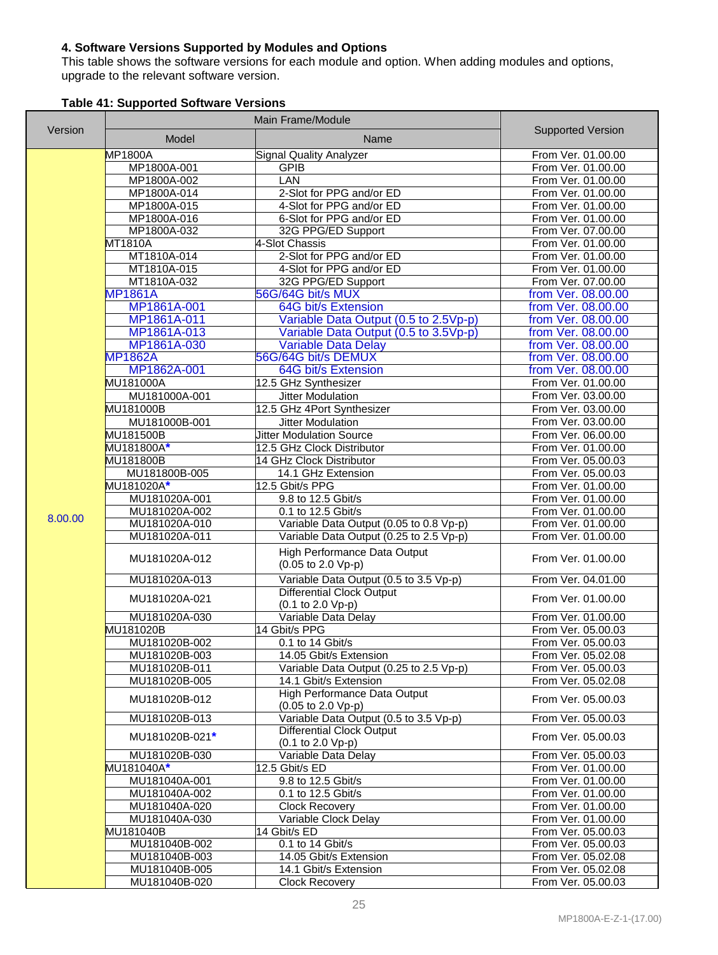#### **4. Software Versions Supported by Modules and Options**

This table shows the software versions for each module and option. When adding modules and options, upgrade to the relevant software version.

|  | <b>Table 41: Supported Software Versions</b> |  |  |
|--|----------------------------------------------|--|--|
|--|----------------------------------------------|--|--|

| Version | Model                          | Name                                                                  | <b>Supported Version</b>                 |
|---------|--------------------------------|-----------------------------------------------------------------------|------------------------------------------|
|         | <b>MP1800A</b>                 | <b>Signal Quality Analyzer</b>                                        | From Ver. 01.00.00                       |
|         | MP1800A-001                    | <b>GPIB</b>                                                           | From Ver. 01.00.00                       |
|         | MP1800A-002                    | <b>LAN</b>                                                            | From Ver. 01.00.00                       |
|         | MP1800A-014                    | 2-Slot for PPG and/or ED                                              | From Ver. 01.00.00                       |
|         | MP1800A-015                    | 4-Slot for PPG and/or ED                                              | From Ver. 01.00.00                       |
|         | MP1800A-016                    | 6-Slot for PPG and/or ED                                              | From Ver. 01.00.00                       |
|         | MP1800A-032                    | 32G PPG/ED Support                                                    | From Ver. 07.00.00                       |
|         | MT1810A                        | 4-Slot Chassis                                                        | From Ver. 01.00.00                       |
|         | MT1810A-014                    | 2-Slot for PPG and/or ED                                              | From Ver. 01.00.00                       |
|         | MT1810A-015                    | 4-Slot for PPG and/or ED                                              | From Ver. 01.00.00                       |
|         | MT1810A-032                    | 32G PPG/ED Support                                                    | From Ver. 07.00.00                       |
|         | <b>MP1861A</b>                 | 56G/64G bit/s MUX                                                     | from Ver. 08.00.00                       |
|         | MP1861A-001                    | 64G bit/s Extension                                                   | from Ver. 08.00.00                       |
|         | MP1861A-011                    | Variable Data Output (0.5 to 2.5Vp-p)                                 | from Ver. 08.00.00                       |
|         | MP1861A-013                    | Variable Data Output (0.5 to 3.5Vp-p)                                 | from Ver. 08.00.00                       |
|         | MP1861A-030                    | <b>Variable Data Delay</b>                                            | from Ver. 08.00.00                       |
|         | <b>MP1862A</b>                 | 56G/64G bit/s DEMUX                                                   | from Ver. 08.00.00                       |
|         | MP1862A-001                    | 64G bit/s Extension                                                   | from Ver. 08.00.00                       |
|         | <b>MU181000A</b>               | 12.5 GHz Synthesizer                                                  | From Ver. 01.00.00                       |
|         | MU181000A-001                  | Jitter Modulation                                                     | From Ver. 03.00.00                       |
|         | MU181000B                      | 12.5 GHz 4Port Synthesizer                                            | From Ver. 03.00.00                       |
|         | MU181000B-001                  | Jitter Modulation                                                     | From Ver. 03.00.00                       |
|         | MU181500B                      | <b>Jitter Modulation Source</b>                                       | From Ver. 06.00.00                       |
|         | MU181800A*                     | 12.5 GHz Clock Distributor                                            | From Ver. 01.00.00                       |
|         | MU181800B                      | 14 GHz Clock Distributor                                              | From Ver. 05.00.03                       |
|         | MU181800B-005                  | 14.1 GHz Extension                                                    | From Ver. 05.00.03                       |
|         | MU181020A*                     | 12.5 Gbit/s PPG                                                       | From Ver. 01.00.00                       |
|         | MU181020A-001<br>MU181020A-002 | 9.8 to 12.5 Gbit/s<br>0.1 to 12.5 Gbit/s                              | From Ver. 01.00.00<br>From Ver. 01.00.00 |
| 8.00.00 | MU181020A-010                  | Variable Data Output (0.05 to 0.8 Vp-p)                               | From Ver. 01.00.00                       |
|         | MU181020A-011                  | Variable Data Output (0.25 to 2.5 Vp-p)                               | From Ver. 01.00.00                       |
|         |                                |                                                                       |                                          |
|         | MU181020A-012                  | High Performance Data Output<br>(0.05 to 2.0 Vp-p)                    | From Ver. 01.00.00                       |
|         | MU181020A-013                  | Variable Data Output (0.5 to 3.5 Vp-p)                                | From Ver. 04.01.00                       |
|         | MU181020A-021                  | <b>Differential Clock Output</b><br>(0.1 to 2.0 Vp-p)                 | From Ver. 01.00.00                       |
|         | MU181020A-030                  | Variable Data Delay                                                   | From Ver. 01.00.00                       |
|         | MU181020B                      | 14 Gbit/s PPG                                                         | From Ver. 05.00.03                       |
|         | MU181020B-002                  | 0.1 to 14 Gbit/s                                                      | From Ver. 05.00.03                       |
|         | MU181020B-003                  | 14.05 Gbit/s Extension                                                | From Ver. 05.02.08                       |
|         | MU181020B-011                  | Variable Data Output (0.25 to 2.5 Vp-p)                               | From Ver. 05.00.03                       |
|         | MU181020B-005                  | 14.1 Gbit/s Extension                                                 | From Ver. 05.02.08                       |
|         | MU181020B-012                  | High Performance Data Output<br>$(0.05 \text{ to } 2.0 \text{ Vp-p})$ | From Ver. 05.00.03                       |
|         | MU181020B-013                  | Variable Data Output (0.5 to 3.5 Vp-p)                                | From Ver. 05.00.03                       |
|         | MU181020B-021*                 | <b>Differential Clock Output</b><br>(0.1 to 2.0 Vp-p)                 | From Ver. 05.00.03                       |
|         | MU181020B-030                  | Variable Data Delay                                                   | From Ver. 05.00.03                       |
|         | MU181040A*                     | 12.5 Gbit/s ED                                                        | From Ver. 01.00.00                       |
|         | MU181040A-001                  | 9.8 to 12.5 Gbit/s                                                    | From Ver. 01.00.00                       |
|         | MU181040A-002                  | 0.1 to 12.5 Gbit/s                                                    | From Ver. 01.00.00                       |
|         | MU181040A-020                  | Clock Recovery                                                        | From Ver. 01.00.00                       |
|         | MU181040A-030                  | Variable Clock Delay                                                  | From Ver. 01.00.00                       |
|         | MU181040B                      | 14 Gbit/s ED                                                          | From Ver. 05.00.03                       |
|         | MU181040B-002                  | $0.1$ to 14 Gbit/s                                                    | From Ver. 05.00.03                       |
|         | MU181040B-003                  | 14.05 Gbit/s Extension                                                | From Ver. 05.02.08                       |
|         | MU181040B-005                  | 14.1 Gbit/s Extension                                                 | From Ver. 05.02.08                       |
|         | MU181040B-020                  | <b>Clock Recovery</b>                                                 | From Ver. 05.00.03                       |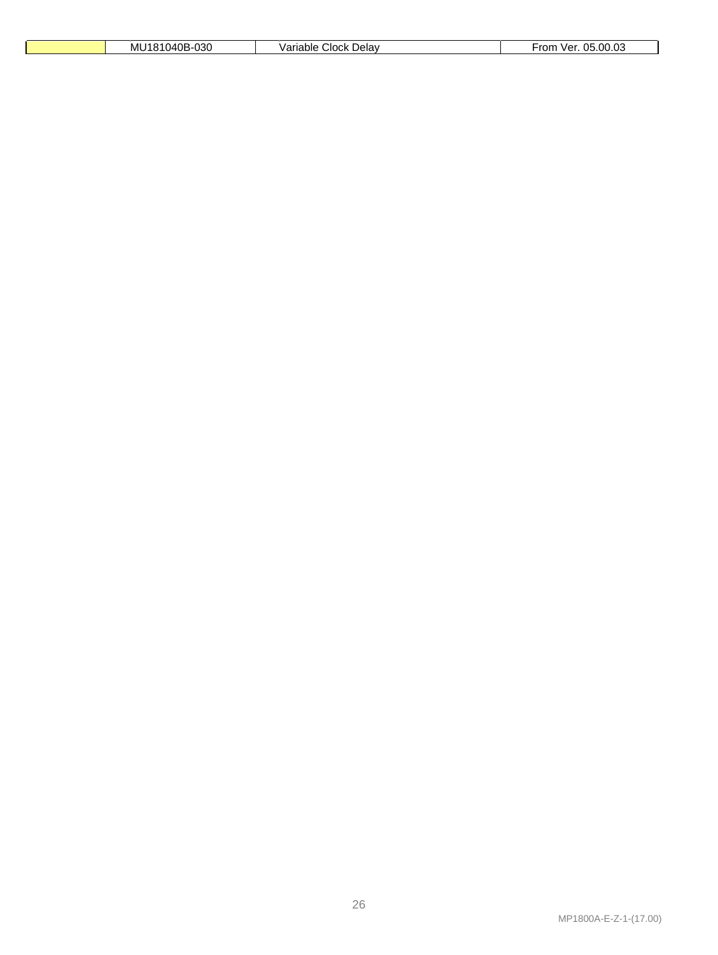| 040B-030<br>мı<br><b>CYA</b><br>. . | '੧riable .<br>. Delav<br>Clock<br>dila | 05.00.03<br>From<br>ver |
|-------------------------------------|----------------------------------------|-------------------------|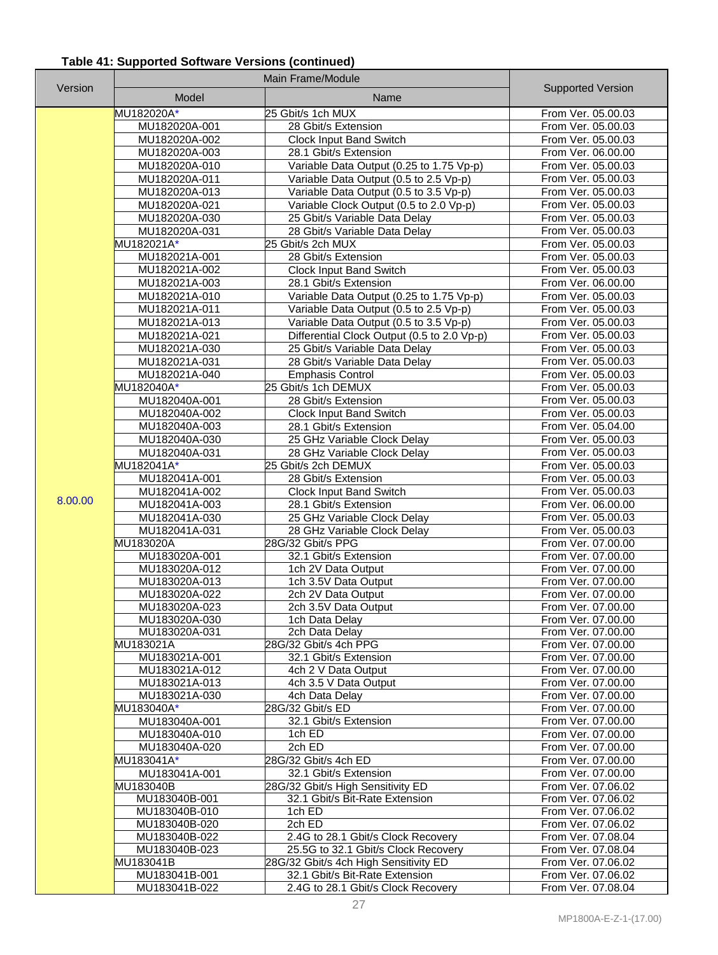# **Table 41: Supported Software Versions (continued)**

|         | Main Frame/Module              |                                                                                       |                                          |
|---------|--------------------------------|---------------------------------------------------------------------------------------|------------------------------------------|
| Version | Model                          | Name                                                                                  | <b>Supported Version</b>                 |
|         | MU182020A*                     | 25 Gbit/s 1ch MUX                                                                     | From Ver. 05.00.03                       |
|         | MU182020A-001                  | 28 Gbit/s Extension                                                                   | From Ver. 05.00.03                       |
|         | MU182020A-002                  | Clock Input Band Switch                                                               | From Ver. 05.00.03                       |
|         | MU182020A-003                  | 28.1 Gbit/s Extension                                                                 | From Ver. 06.00.00                       |
|         | MU182020A-010                  | Variable Data Output (0.25 to 1.75 Vp-p)                                              | From Ver. 05.00.03                       |
|         | MU182020A-011                  | Variable Data Output (0.5 to 2.5 Vp-p)                                                | From Ver. 05.00.03                       |
|         | MU182020A-013                  | Variable Data Output (0.5 to 3.5 Vp-p)                                                | From Ver. 05.00.03                       |
|         | MU182020A-021                  | Variable Clock Output (0.5 to 2.0 Vp-p)                                               | From Ver. 05.00.03                       |
|         | MU182020A-030                  | 25 Gbit/s Variable Data Delay                                                         | From Ver. 05.00.03                       |
|         | MU182020A-031                  | 28 Gbit/s Variable Data Delay                                                         | From Ver. 05.00.03                       |
|         | MU182021A*                     | 25 Gbit/s 2ch MUX                                                                     | From Ver. 05.00.03                       |
|         | MU182021A-001                  | 28 Gbit/s Extension                                                                   | From Ver. 05.00.03                       |
|         | MU182021A-002                  | <b>Clock Input Band Switch</b>                                                        | From Ver. 05.00.03                       |
|         | MU182021A-003                  | 28.1 Gbit/s Extension                                                                 | From Ver. 06.00.00                       |
|         | MU182021A-010                  | Variable Data Output (0.25 to 1.75 Vp-p)                                              | From Ver. 05.00.03                       |
|         | MU182021A-011<br>MU182021A-013 | Variable Data Output (0.5 to 2.5 Vp-p)                                                | From Ver. 05.00.03<br>From Ver. 05.00.03 |
|         | MU182021A-021                  | Variable Data Output (0.5 to 3.5 Vp-p)<br>Differential Clock Output (0.5 to 2.0 Vp-p) | From Ver. 05.00.03                       |
|         | MU182021A-030                  | 25 Gbit/s Variable Data Delay                                                         | From Ver. 05.00.03                       |
|         | MU182021A-031                  | 28 Gbit/s Variable Data Delay                                                         | From Ver. 05.00.03                       |
|         | MU182021A-040                  | <b>Emphasis Control</b>                                                               | From Ver. 05.00.03                       |
|         | MU182040A*                     | 25 Gbit/s 1ch DEMUX                                                                   | From Ver. 05.00.03                       |
|         | MU182040A-001                  | 28 Gbit/s Extension                                                                   | From Ver. 05.00.03                       |
|         | MU182040A-002                  | <b>Clock Input Band Switch</b>                                                        | From Ver. 05.00.03                       |
|         | MU182040A-003                  | 28.1 Gbit/s Extension                                                                 | From Ver. 05.04.00                       |
|         | MU182040A-030                  | 25 GHz Variable Clock Delay                                                           | From Ver. 05.00.03                       |
|         | MU182040A-031                  | 28 GHz Variable Clock Delay                                                           | From Ver. 05.00.03                       |
|         | MU182041A*                     | 25 Gbit/s 2ch DEMUX                                                                   | From Ver. 05.00.03                       |
|         | MU182041A-001                  | 28 Gbit/s Extension                                                                   | From Ver. 05.00.03                       |
| 8.00.00 | MU182041A-002                  | Clock Input Band Switch                                                               | From Ver. 05.00.03                       |
|         | MU182041A-003<br>MU182041A-030 | 28.1 Gbit/s Extension<br>25 GHz Variable Clock Delay                                  | From Ver. 06.00.00<br>From Ver. 05.00.03 |
|         | MU182041A-031                  | 28 GHz Variable Clock Delay                                                           | From Ver. 05.00.03                       |
|         | MU183020A                      | 28G/32 Gbit/s PPG                                                                     | From Ver. 07.00.00                       |
|         | MU183020A-001                  | 32.1 Gbit/s Extension                                                                 | From Ver. 07.00.00                       |
|         | MU183020A-012                  | 1ch 2V Data Output                                                                    | From Ver. 07.00.00                       |
|         | MU183020A-013                  | 1ch 3.5V Data Output                                                                  | From Ver. 07.00.00                       |
|         | MU183020A-022                  | 2ch 2V Data Output                                                                    | From Ver. 07.00.00                       |
|         | MU183020A-023                  | 2ch 3.5V Data Output                                                                  | From Ver. 07.00.00                       |
|         | MU183020A-030                  | 1ch Data Delay                                                                        | From Ver. 07.00.00                       |
|         | MU183020A-031                  | 2ch Data Delay<br>28G/32 Gbit/s 4ch PPG                                               | From Ver. 07.00.00                       |
|         | MU183021A<br>MU183021A-001     | 32.1 Gbit/s Extension                                                                 | From Ver. 07.00.00<br>From Ver. 07.00.00 |
|         | MU183021A-012                  | 4ch 2 V Data Output                                                                   | From Ver. 07.00.00                       |
|         | MU183021A-013                  | 4ch 3.5 V Data Output                                                                 | From Ver. 07.00.00                       |
|         | MU183021A-030                  | 4ch Data Delay                                                                        | From Ver. 07.00.00                       |
|         | MU183040A*                     | 28G/32 Gbit/s ED                                                                      | From Ver. 07.00.00                       |
|         | MU183040A-001                  | 32.1 Gbit/s Extension                                                                 | From Ver. 07.00.00                       |
|         | MU183040A-010                  | 1 $\overline{chED}$                                                                   | From Ver. 07.00.00                       |
|         | MU183040A-020                  | 2ch ED                                                                                | From Ver. 07.00.00                       |
|         | MU183041A*                     | 28G/32 Gbit/s 4ch ED                                                                  | From Ver. 07.00.00                       |
|         | MU183041A-001                  | 32.1 Gbit/s Extension                                                                 | From Ver. 07.00.00                       |
|         | MU183040B<br>MU183040B-001     | 28G/32 Gbit/s High Sensitivity ED<br>32.1 Gbit/s Bit-Rate Extension                   | From Ver. 07.06.02<br>From Ver. 07.06.02 |
|         | MU183040B-010                  | 1ch ED                                                                                | From Ver. 07.06.02                       |
|         | MU183040B-020                  | 2ch ED                                                                                | From Ver. 07.06.02                       |
|         | MU183040B-022                  | 2.4G to 28.1 Gbit/s Clock Recovery                                                    | From Ver. 07.08.04                       |
|         | MU183040B-023                  | 25.5G to 32.1 Gbit/s Clock Recovery                                                   | From Ver. 07.08.04                       |
|         | MU183041B                      | 28G/32 Gbit/s 4ch High Sensitivity ED                                                 | From Ver. 07.06.02                       |
|         | MU183041B-001                  | 32.1 Gbit/s Bit-Rate Extension                                                        | From Ver. 07.06.02                       |
|         | MU183041B-022                  | 2.4G to 28.1 Gbit/s Clock Recovery                                                    | From Ver. 07.08.04                       |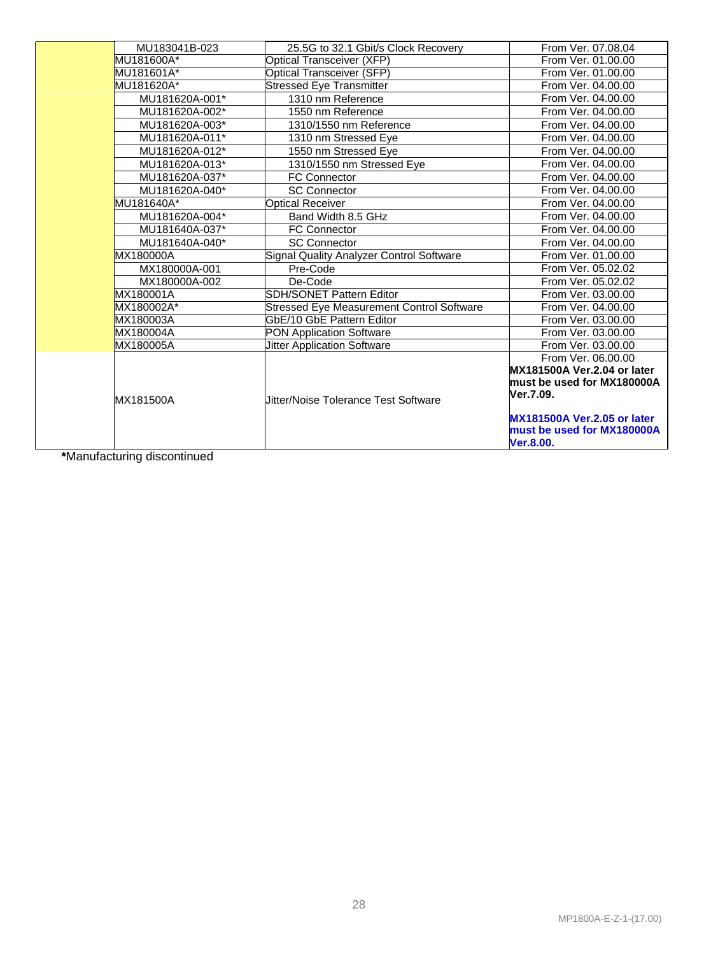| MU183041B-023  | 25.5G to 32.1 Gbit/s Clock Recovery             | From Ver. 07.08.04                                                            |
|----------------|-------------------------------------------------|-------------------------------------------------------------------------------|
| MU181600A*     | Optical Transceiver (XFP)                       | From Ver. 01.00.00                                                            |
| MU181601A*     | <b>Optical Transceiver (SFP)</b>                | From Ver. 01.00.00                                                            |
| MU181620A*     | <b>Stressed Eye Transmitter</b>                 | From Ver. 04.00.00                                                            |
| MU181620A-001* | 1310 nm Reference                               | From Ver. 04.00.00                                                            |
| MU181620A-002* | 1550 nm Reference                               | From Ver. 04.00.00                                                            |
| MU181620A-003* | 1310/1550 nm Reference                          | From Ver. 04.00.00                                                            |
| MU181620A-011* | 1310 nm Stressed Eye                            | From Ver. 04.00.00                                                            |
| MU181620A-012* | 1550 nm Stressed Eye                            | From Ver. 04.00.00                                                            |
| MU181620A-013* | 1310/1550 nm Stressed Eye                       | From Ver. 04.00.00                                                            |
| MU181620A-037* | <b>FC Connector</b>                             | From Ver. 04.00.00                                                            |
| MU181620A-040* | <b>SC Connector</b>                             | From Ver. 04.00.00                                                            |
| MU181640A*     | <b>Optical Receiver</b>                         | From Ver. 04.00.00                                                            |
| MU181620A-004* | Band Width 8.5 GHz                              | From Ver. 04.00.00                                                            |
| MU181640A-037* | <b>FC Connector</b>                             | From Ver. 04.00.00                                                            |
| MU181640A-040* | <b>SC Connector</b>                             | From Ver. 04.00.00                                                            |
| MX180000A      | <b>Signal Quality Analyzer Control Software</b> | From Ver. 01.00.00                                                            |
| MX180000A-001  | Pre-Code                                        | From Ver. 05.02.02                                                            |
| MX180000A-002  | De-Code                                         | From Ver. 05.02.02                                                            |
| MX180001A      | SDH/SONET Pattern Editor                        | From Ver. 03.00.00                                                            |
| MX180002A*     | Stressed Eye Measurement Control Software       | From Ver. 04.00.00                                                            |
| MX180003A      | GbE/10 GbE Pattern Editor                       | From Ver. 03.00.00                                                            |
| MX180004A      | PON Application Software                        | From Ver. 03.00.00                                                            |
| MX180005A      | <b>Jitter Application Software</b>              | From Ver. 03.00.00                                                            |
|                |                                                 | From Ver. 06.00.00                                                            |
| MX181500A      | Jitter/Noise Tolerance Test Software            | MX181500A Ver.2.04 or later<br>must be used for MX180000A<br>Ver.7.09.        |
|                |                                                 | <b>MX181500A Ver.2.05 or later</b><br>must be used for MX180000A<br>Ver.8.00. |

**\***Manufacturing discontinued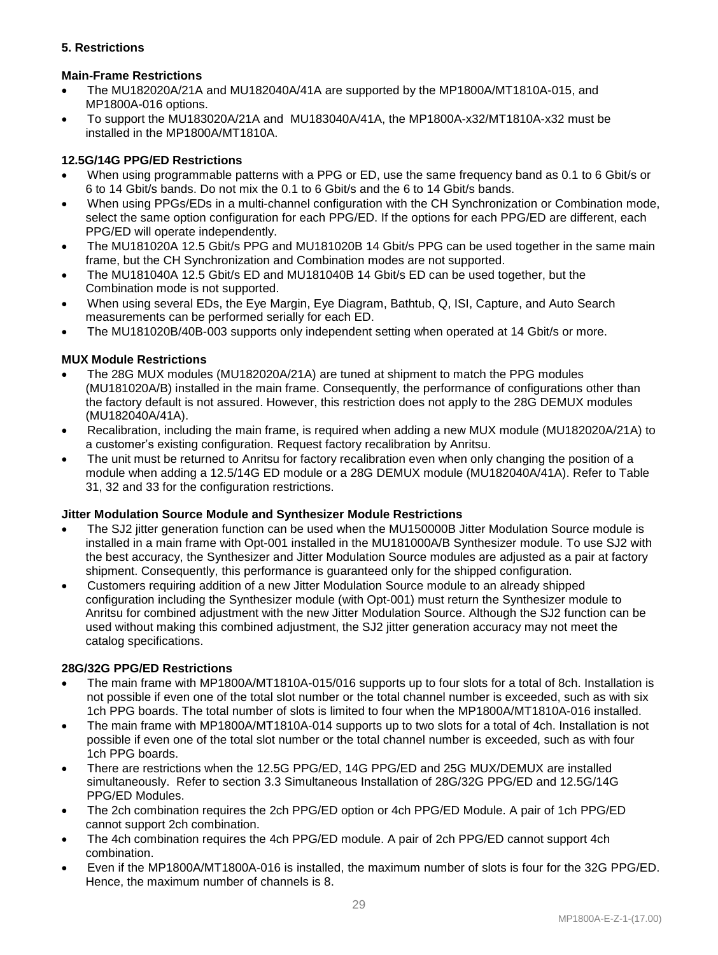## **5. Restrictions**

## **Main-Frame Restrictions**

- The MU182020A/21A and MU182040A/41A are supported by the MP1800A/MT1810A-015, and MP1800A-016 options.
- To support the MU183020A/21A and MU183040A/41A, the MP1800A-x32/MT1810A-x32 must be installed in the MP1800A/MT1810A.

## **12.5G/14G PPG/ED Restrictions**

- When using programmable patterns with a PPG or ED, use the same frequency band as 0.1 to 6 Gbit/s or 6 to 14 Gbit/s bands. Do not mix the 0.1 to 6 Gbit/s and the 6 to 14 Gbit/s bands.
- When using PPGs/EDs in a multi-channel configuration with the CH Synchronization or Combination mode, select the same option configuration for each PPG/ED. If the options for each PPG/ED are different, each PPG/ED will operate independently.
- The MU181020A 12.5 Gbit/s PPG and MU181020B 14 Gbit/s PPG can be used together in the same main frame, but the CH Synchronization and Combination modes are not supported.
- The MU181040A 12.5 Gbit/s ED and MU181040B 14 Gbit/s ED can be used together, but the Combination mode is not supported.
- When using several EDs, the Eye Margin, Eye Diagram, Bathtub, Q, ISI, Capture, and Auto Search measurements can be performed serially for each ED.
- The MU181020B/40B-003 supports only independent setting when operated at 14 Gbit/s or more.

## **MUX Module Restrictions**

- The 28G MUX modules (MU182020A/21A) are tuned at shipment to match the PPG modules (MU181020A/B) installed in the main frame. Consequently, the performance of configurations other than the factory default is not assured. However, this restriction does not apply to the 28G DEMUX modules (MU182040A/41A).
- Recalibration, including the main frame, is required when adding a new MUX module (MU182020A/21A) to a customer's existing configuration. Request factory recalibration by Anritsu.
- The unit must be returned to Anritsu for factory recalibration even when only changing the position of a module when adding a 12.5/14G ED module or a 28G DEMUX module (MU182040A/41A). Refer to Table 31, 32 and 33 for the configuration restrictions.

#### **Jitter Modulation Source Module and Synthesizer Module Restrictions**

- The SJ2 jitter generation function can be used when the MU150000B Jitter Modulation Source module is installed in a main frame with Opt-001 installed in the MU181000A/B Synthesizer module. To use SJ2 with the best accuracy, the Synthesizer and Jitter Modulation Source modules are adjusted as a pair at factory shipment. Consequently, this performance is guaranteed only for the shipped configuration.
- Customers requiring addition of a new Jitter Modulation Source module to an already shipped configuration including the Synthesizer module (with Opt-001) must return the Synthesizer module to Anritsu for combined adjustment with the new Jitter Modulation Source. Although the SJ2 function can be used without making this combined adjustment, the SJ2 jitter generation accuracy may not meet the catalog specifications.

#### **28G/32G PPG/ED Restrictions**

- The main frame with MP1800A/MT1810A-015/016 supports up to four slots for a total of 8ch. Installation is not possible if even one of the total slot number or the total channel number is exceeded, such as with six 1ch PPG boards. The total number of slots is limited to four when the MP1800A/MT1810A-016 installed.
- The main frame with MP1800A/MT1810A-014 supports up to two slots for a total of 4ch. Installation is not possible if even one of the total slot number or the total channel number is exceeded, such as with four 1ch PPG boards.
- There are restrictions when the 12.5G PPG/ED, 14G PPG/ED and 25G MUX/DEMUX are installed simultaneously. Refer to section 3.3 Simultaneous Installation of 28G/32G PPG/ED and 12.5G/14G PPG/ED Modules.
- The 2ch combination requires the 2ch PPG/ED option or 4ch PPG/ED Module. A pair of 1ch PPG/ED cannot support 2ch combination.
- The 4ch combination requires the 4ch PPG/ED module. A pair of 2ch PPG/ED cannot support 4ch combination.
- Even if the MP1800A/MT1800A-016 is installed, the maximum number of slots is four for the 32G PPG/ED. Hence, the maximum number of channels is 8.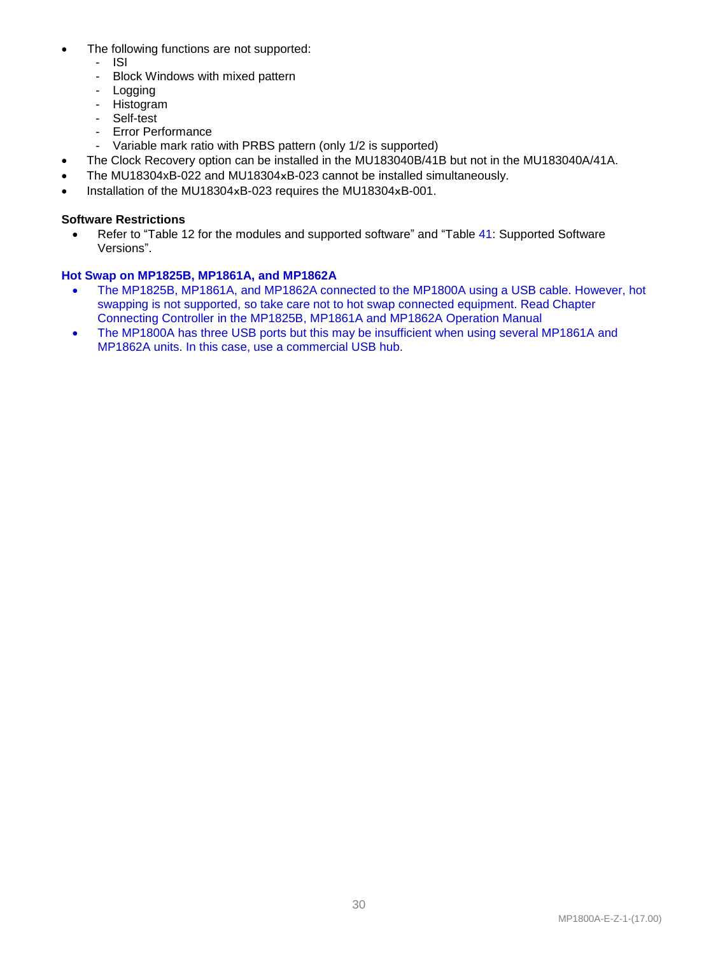- The following functions are not supported:
	- ISI
	- Block Windows with mixed pattern
	- Logging
	- Histogram
	- Self-test
	- Error Performance
	- Variable mark ratio with PRBS pattern (only 1/2 is supported)
- The Clock Recovery option can be installed in the MU183040B/41B but not in the MU183040A/41A.
- The MU18304xB-022 and MU18304xB-023 cannot be installed simultaneously.
- Installation of the MU18304xB-023 requires the MU18304xB-001.

#### **Software Restrictions**

• Refer to "Table 12 for the modules and supported software" and "Table 41: Supported Software Versions".

## **Hot Swap on MP1825B, MP1861A, and MP1862A**

- The MP1825B, MP1861A, and MP1862A connected to the MP1800A using a USB cable. However, hot swapping is not supported, so take care not to hot swap connected equipment. Read Chapter Connecting Controller in the MP1825B, MP1861A and MP1862A Operation Manual
- The MP1800A has three USB ports but this may be insufficient when using several MP1861A and MP1862A units. In this case, use a commercial USB hub.